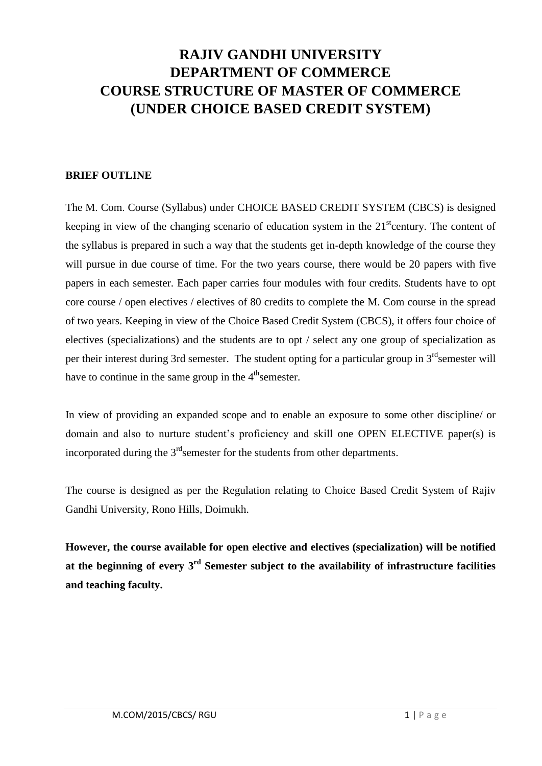# **RAJIV GANDHI UNIVERSITY DEPARTMENT OF COMMERCE COURSE STRUCTURE OF MASTER OF COMMERCE (UNDER CHOICE BASED CREDIT SYSTEM)**

#### **BRIEF OUTLINE**

The M. Com. Course (Syllabus) under CHOICE BASED CREDIT SYSTEM (CBCS) is designed keeping in view of the changing scenario of education system in the  $21<sup>st</sup>$ century. The content of the syllabus is prepared in such a way that the students get in-depth knowledge of the course they will pursue in due course of time. For the two years course, there would be 20 papers with five papers in each semester. Each paper carries four modules with four credits. Students have to opt core course / open electives / electives of 80 credits to complete the M. Com course in the spread of two years. Keeping in view of the Choice Based Credit System (CBCS), it offers four choice of electives (specializations) and the students are to opt / select any one group of specialization as per their interest during 3rd semester. The student opting for a particular group in  $3<sup>rd</sup>$  semester will have to continue in the same group in the  $4<sup>th</sup>$ semester.

In view of providing an expanded scope and to enable an exposure to some other discipline/ or domain and also to nurture student's proficiency and skill one OPEN ELECTIVE paper(s) is incorporated during the  $3<sup>rd</sup>$ semester for the students from other departments.

The course is designed as per the Regulation relating to Choice Based Credit System of Rajiv Gandhi University, Rono Hills, Doimukh.

**However, the course available for open elective and electives (specialization) will be notified at the beginning of every 3 rd Semester subject to the availability of infrastructure facilities and teaching faculty.**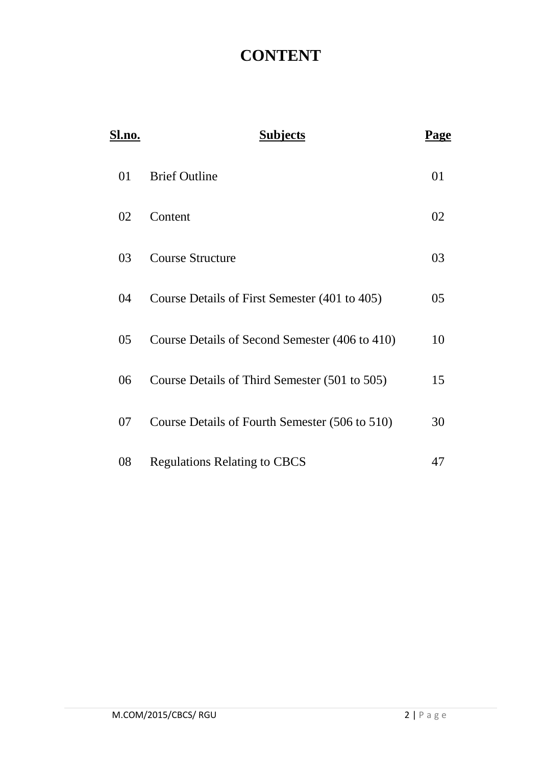# **CONTENT**

| <b>Sl.no.</b> | <b>Subjects</b>                                | Page |
|---------------|------------------------------------------------|------|
| 01            | <b>Brief Outline</b>                           | 01   |
| 02            | Content                                        | 02   |
| 03            | <b>Course Structure</b>                        | 03   |
| 04            | Course Details of First Semester (401 to 405)  | 05   |
| 05            | Course Details of Second Semester (406 to 410) | 10   |
| 06            | Course Details of Third Semester (501 to 505)  | 15   |
| 07            | Course Details of Fourth Semester (506 to 510) | 30   |
| 08            | <b>Regulations Relating to CBCS</b>            | 47   |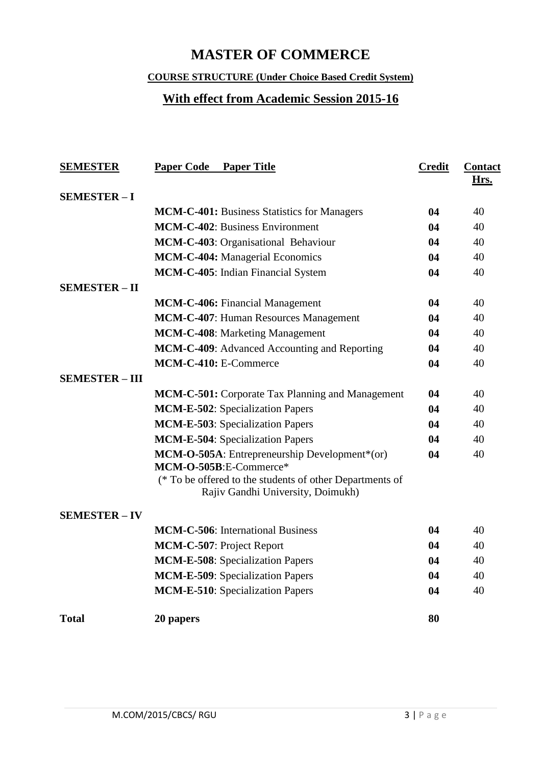# **MASTER OF COMMERCE**

### **COURSE STRUCTURE (Under Choice Based Credit System)**

# **With effect from Academic Session 2015-16**

| <b>SEMESTER</b>       | <b>Paper Code</b><br><b>Paper Title</b>                                                       | <b>Credit</b> | <b>Contact</b><br>Hrs. |
|-----------------------|-----------------------------------------------------------------------------------------------|---------------|------------------------|
| <b>SEMESTER-I</b>     |                                                                                               |               |                        |
|                       | MCM-C-401: Business Statistics for Managers                                                   | 04            | 40                     |
|                       | <b>MCM-C-402: Business Environment</b>                                                        | 04            | 40                     |
|                       | MCM-C-403: Organisational Behaviour                                                           | 04            | 40                     |
|                       | <b>MCM-C-404: Managerial Economics</b>                                                        | 04            | 40                     |
|                       | MCM-C-405: Indian Financial System                                                            | 04            | 40                     |
| <b>SEMESTER-II</b>    |                                                                                               |               |                        |
|                       | <b>MCM-C-406:</b> Financial Management                                                        | 04            | 40                     |
|                       | MCM-C-407: Human Resources Management                                                         | 04            | 40                     |
|                       | MCM-C-408: Marketing Management                                                               | 04            | 40                     |
|                       | MCM-C-409: Advanced Accounting and Reporting                                                  | 04            | 40                     |
|                       | MCM-C-410: E-Commerce                                                                         | 04            | 40                     |
| <b>SEMESTER - III</b> |                                                                                               |               |                        |
|                       | <b>MCM-C-501:</b> Corporate Tax Planning and Management                                       | 04            | 40                     |
|                       | <b>MCM-E-502:</b> Specialization Papers                                                       | 04            | 40                     |
|                       | <b>MCM-E-503: Specialization Papers</b>                                                       | 04            | 40                     |
|                       | <b>MCM-E-504:</b> Specialization Papers                                                       | 04            | 40                     |
|                       | MCM-O-505A: Entrepreneurship Development*(or)<br>MCM-O-505B:E-Commerce*                       | 04            | 40                     |
|                       | (* To be offered to the students of other Departments of<br>Rajiv Gandhi University, Doimukh) |               |                        |
| <b>SEMESTER - IV</b>  |                                                                                               |               |                        |
|                       | <b>MCM-C-506:</b> International Business                                                      | 04            | 40                     |
|                       | <b>MCM-C-507: Project Report</b>                                                              | 04            | 40                     |
|                       | <b>MCM-E-508</b> : Specialization Papers                                                      | 04            | 40                     |
|                       | <b>MCM-E-509: Specialization Papers</b>                                                       | 04            | 40                     |
|                       | <b>MCM-E-510:</b> Specialization Papers                                                       | 04            | 40                     |
| <b>Total</b>          | 20 papers                                                                                     | 80            |                        |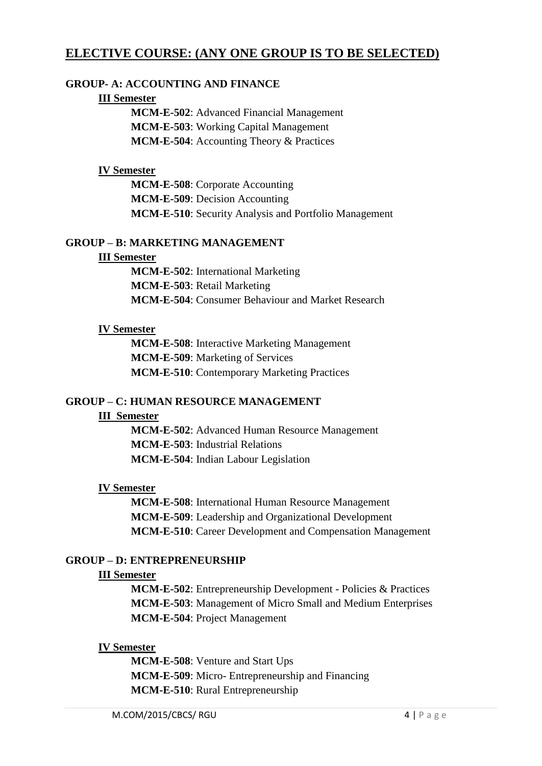### **ELECTIVE COURSE: (ANY ONE GROUP IS TO BE SELECTED)**

#### **GROUP- A: ACCOUNTING AND FINANCE**

#### **III Semester**

**MCM-E-502**: Advanced Financial Management **MCM-E-503**: Working Capital Management **MCM-E-504**: Accounting Theory & Practices

#### **IV Semester**

**MCM-E-508**: Corporate Accounting **MCM-E-509**: Decision Accounting **MCM-E-510**: Security Analysis and Portfolio Management

#### **GROUP – B: MARKETING MANAGEMENT**

#### **III Semester**

**MCM-E-502**: International Marketing **MCM-E-503**: Retail Marketing **MCM-E-504**: Consumer Behaviour and Market Research

#### **IV Semester**

**MCM-E-508**: Interactive Marketing Management **MCM-E-509**: Marketing of Services **MCM-E-510**: Contemporary Marketing Practices

#### **GROUP – C: HUMAN RESOURCE MANAGEMENT**

#### **III Semester**

**MCM-E-502**: Advanced Human Resource Management **MCM-E-503**: Industrial Relations **MCM-E-504**: Indian Labour Legislation

#### **IV Semester**

**MCM-E-508**: International Human Resource Management **MCM-E-509**: Leadership and Organizational Development **MCM-E-510**: Career Development and Compensation Management

#### **GROUP – D: ENTREPRENEURSHIP**

#### **III Semester**

**MCM-E-502**: Entrepreneurship Development - Policies & Practices **MCM-E-503**: Management of Micro Small and Medium Enterprises **MCM-E-504**: Project Management

#### **IV Semester**

**MCM-E-508**: Venture and Start Ups **MCM-E-509**: Micro- Entrepreneurship and Financing **MCM-E-510**: Rural Entrepreneurship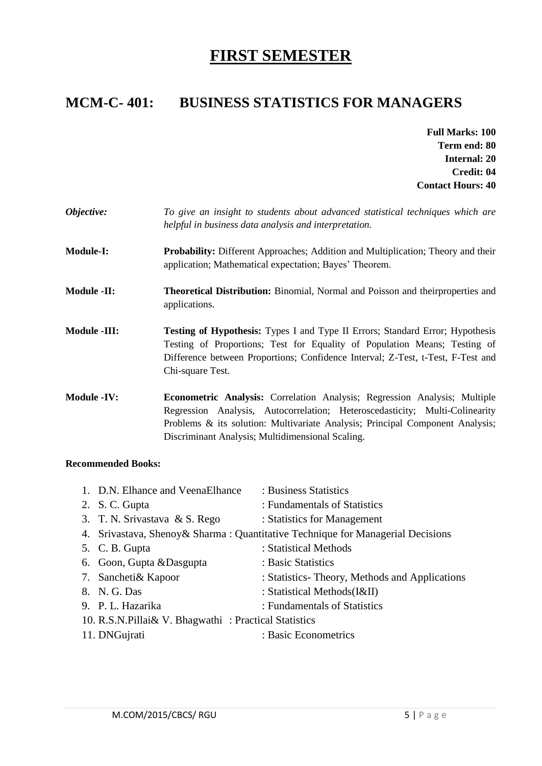# **FIRST SEMESTER**

# **MCM-C- 401: BUSINESS STATISTICS FOR MANAGERS**

- **Full Marks: 100 Term end: 80 Internal: 20 Credit: 04 Contact Hours: 40**
- *Objective: To give an insight to students about advanced statistical techniques which are helpful in business data analysis and interpretation.*
- **Module-I: Probability:** Different Approaches; Addition and Multiplication; Theory and their application; Mathematical expectation; Bayes' Theorem.
- **Module -II: Theoretical Distribution:** Binomial, Normal and Poisson and theirproperties and applications.
- **Module -III: Testing of Hypothesis:** Types I and Type II Errors; Standard Error; Hypothesis Testing of Proportions; Test for Equality of Population Means; Testing of Difference between Proportions; Confidence Interval; Z-Test, t-Test, F-Test and Chi-square Test.
- **Module -IV: Econometric Analysis:** Correlation Analysis; Regression Analysis; Multiple Regression Analysis, Autocorrelation; Heteroscedasticity; Multi-Colinearity Problems & its solution: Multivariate Analysis; Principal Component Analysis; Discriminant Analysis; Multidimensional Scaling.

| 1. D.N. Elhance and VeenaElhance                     | : Business Statistics                                                           |
|------------------------------------------------------|---------------------------------------------------------------------------------|
| 2. S.C. Gupta                                        | : Fundamentals of Statistics                                                    |
| 3. T. N. Srivastava & S. Rego                        | : Statistics for Management                                                     |
|                                                      | 4. Srivastava, Shenoy & Sharma: Quantitative Technique for Managerial Decisions |
| 5. C. B. Gupta                                       | : Statistical Methods                                                           |
| 6. Goon, Gupta & Dasgupta                            | : Basic Statistics                                                              |
| 7. Sancheti& Kapoor                                  | : Statistics-Theory, Methods and Applications                                   |
| 8. N. G. Das                                         | : Statistical Methods(I&II)                                                     |
| 9. P. L. Hazarika                                    | : Fundamentals of Statistics                                                    |
| 10. R.S.N.Pillai& V. Bhagwathi: Practical Statistics |                                                                                 |
| 11. DNGujrati                                        | : Basic Econometrics                                                            |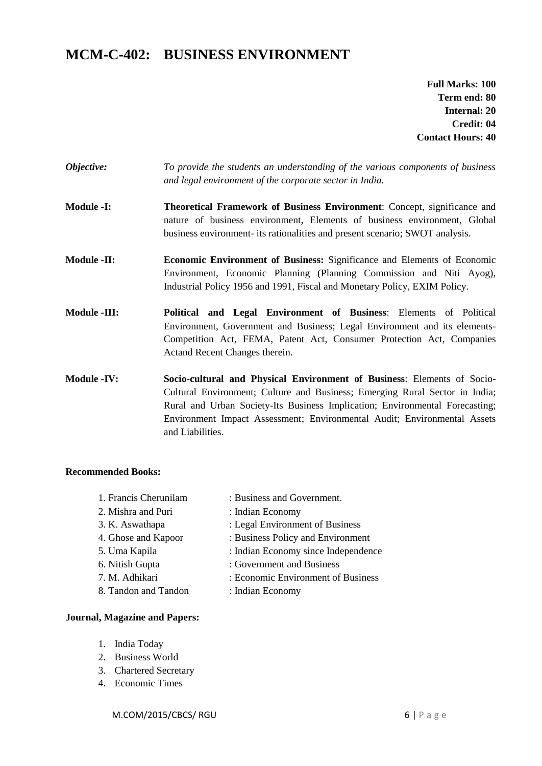# **MCM-C-402: BUSINESS ENVIRONMENT**

**Full Marks: 100 Term end: 80 Internal: 20 Credit: 04 Contact Hours: 40**

- *Objective: To provide the students an understanding of the various components of business and legal environment of the corporate sector in India.*
- **Module -I: Theoretical Framework of Business Environment**: Concept, significance and nature of business environment, Elements of business environment, Global business environment- its rationalities and present scenario; SWOT analysis.
- **Module -II: Economic Environment of Business:** Significance and Elements of Economic Environment, Economic Planning (Planning Commission and Niti Ayog), Industrial Policy 1956 and 1991, Fiscal and Monetary Policy, EXIM Policy.
- **Module -III: Political and Legal Environment of Business**: Elements of Political Environment, Government and Business; Legal Environment and its elements-Competition Act, FEMA, Patent Act, Consumer Protection Act, Companies Actand Recent Changes therein.

**Module -IV: Socio-cultural and Physical Environment of Business**: Elements of Socio-Cultural Environment; Culture and Business; Emerging Rural Sector in India; Rural and Urban Society-Its Business Implication; Environmental Forecasting; Environment Impact Assessment; Environmental Audit; Environmental Assets and Liabilities.

#### **Recommended Books:**

1. Francis Cherunilam : Business and Government. 2. Mishra and Puri : Indian Economy 3. K. Aswathapa : Legal Environment of Business 4. Ghose and Kapoor : Business Policy and Environment 5. Uma Kapila : Indian Economy since Independence 6. Nitish Gupta : Government and Business 7. M. Adhikari : Economic Environment of Business 8. Tandon and Tandon : Indian Economy

#### **Journal, Magazine and Papers:**

- 1. India Today
- 2. Business World
- 3. Chartered Secretary
- 4. Economic Times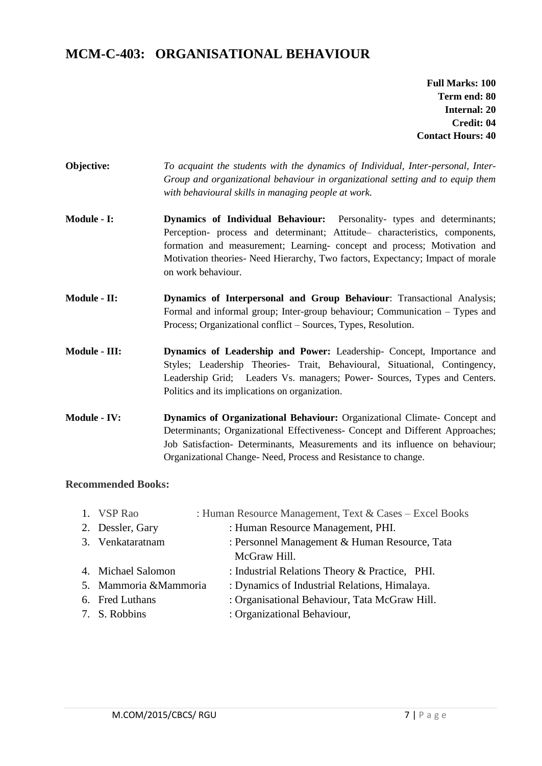### **MCM-C-403: ORGANISATIONAL BEHAVIOUR**

**Full Marks: 100 Term end: 80 Internal: 20 Credit: 04 Contact Hours: 40**

- **Objective:** *To acquaint the students with the dynamics of Individual, Inter-personal, Inter-Group and organizational behaviour in organizational setting and to equip them with behavioural skills in managing people at work.*
- **Module - I: Dynamics of Individual Behaviour:** Personality- types and determinants; Perception- process and determinant; Attitude– characteristics, components, formation and measurement; Learning- concept and process; Motivation and Motivation theories- Need Hierarchy, Two factors, Expectancy; Impact of morale on work behaviour.
- **Module - II: Dynamics of Interpersonal and Group Behaviour**: Transactional Analysis; Formal and informal group; Inter-group behaviour; Communication – Types and Process; Organizational conflict – Sources, Types, Resolution.
- **Module - III: Dynamics of Leadership and Power:** Leadership- Concept, Importance and Styles; Leadership Theories- Trait, Behavioural, Situational, Contingency, Leadership Grid; Leaders Vs. managers; Power- Sources, Types and Centers. Politics and its implications on organization.
- **Module - IV: Dynamics of Organizational Behaviour:** Organizational Climate- Concept and Determinants; Organizational Effectiveness- Concept and Different Approaches; Job Satisfaction- Determinants, Measurements and its influence on behaviour; Organizational Change- Need, Process and Resistance to change.

| 1. VSP Rao             | : Human Resource Management, Text & Cases - Excel Books |
|------------------------|---------------------------------------------------------|
| 2. Dessler, Gary       | : Human Resource Management, PHI.                       |
| 3. Venkataratnam       | : Personnel Management & Human Resource, Tata           |
|                        | McGraw Hill.                                            |
| 4. Michael Salomon     | : Industrial Relations Theory & Practice, PHI.          |
| 5. Mammoria & Mammoria | : Dynamics of Industrial Relations, Himalaya.           |
| 6. Fred Luthans        | : Organisational Behaviour, Tata McGraw Hill.           |
| 7. S. Robbins          | : Organizational Behaviour,                             |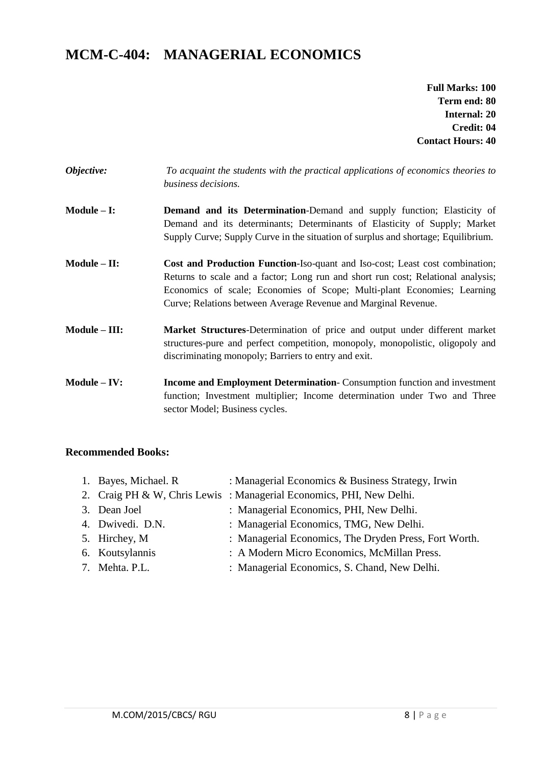# **MCM-C-404: MANAGERIAL ECONOMICS**

**Full Marks: 100 Term end: 80 Internal: 20 Credit: 04 Contact Hours: 40**

| <i><b>Objective:</b></i> | To acquaint the students with the practical applications of economics theories to |
|--------------------------|-----------------------------------------------------------------------------------|
|                          | <i>business decisions.</i>                                                        |
|                          |                                                                                   |

- **Module – I: Demand and its Determination**-Demand and supply function; Elasticity of Demand and its determinants; Determinants of Elasticity of Supply; Market Supply Curve; Supply Curve in the situation of surplus and shortage; Equilibrium.
- **Module – II: Cost and Production Function**-Iso-quant and Iso-cost; Least cost combination; Returns to scale and a factor; Long run and short run cost; Relational analysis; Economics of scale; Economies of Scope; Multi-plant Economies; Learning Curve; Relations between Average Revenue and Marginal Revenue.
- **Module – III: Market Structures**-Determination of price and output under different market structures-pure and perfect competition, monopoly, monopolistic, oligopoly and discriminating monopoly; Barriers to entry and exit.
- **Module – IV: Income and Employment Determination** Consumption function and investment function; Investment multiplier; Income determination under Two and Three sector Model; Business cycles.

| 1. Bayes, Michael. R | : Managerial Economics & Business Strategy, Irwin                   |
|----------------------|---------------------------------------------------------------------|
|                      | 2. Craig PH & W, Chris Lewis: Managerial Economics, PHI, New Delhi. |
| 3. Dean Joel         | : Managerial Economics, PHI, New Delhi.                             |
| 4. Dwivedi. D.N.     | : Managerial Economics, TMG, New Delhi.                             |
| 5. Hirchey, M        | : Managerial Economics, The Dryden Press, Fort Worth.               |
| 6. Koutsylannis      | : A Modern Micro Economics, McMillan Press.                         |
| 7. Mehta. P.L.       | : Managerial Economics, S. Chand, New Delhi.                        |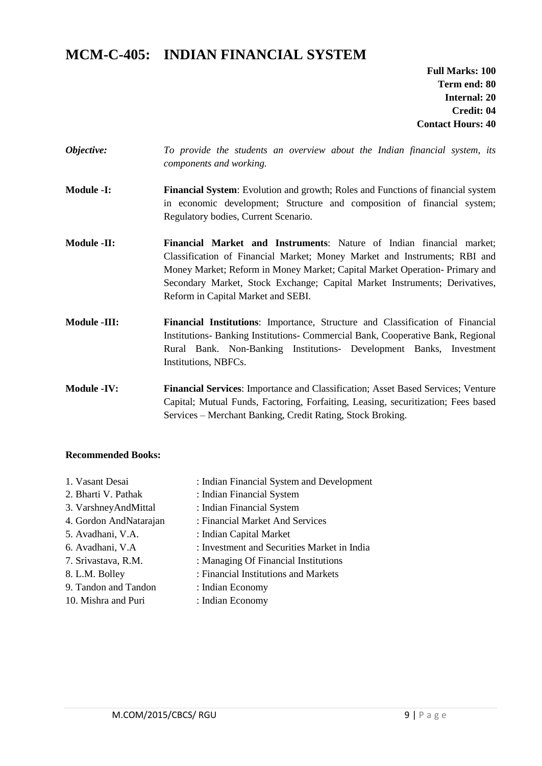# **MCM-C-405: INDIAN FINANCIAL SYSTEM**

**Full Marks: 100 Term end: 80 Internal: 20 Credit: 04 Contact Hours: 40**

- *Objective: To provide the students an overview about the Indian financial system, its components and working.*
- **Module -I: Financial System**: Evolution and growth; Roles and Functions of financial system in economic development; Structure and composition of financial system; Regulatory bodies, Current Scenario.
- **Module -II: Financial Market and Instruments**: Nature of Indian financial market; Classification of Financial Market; Money Market and Instruments; RBI and Money Market; Reform in Money Market; Capital Market Operation- Primary and Secondary Market, Stock Exchange; Capital Market Instruments; Derivatives, Reform in Capital Market and SEBI.
- **Module -III: Financial Institutions**: Importance, Structure and Classification of Financial Institutions- Banking Institutions- Commercial Bank, Cooperative Bank, Regional Rural Bank. Non-Banking Institutions- Development Banks, Investment Institutions, NBFCs.

**Module -IV: Financial Services**: Importance and Classification; Asset Based Services; Venture Capital; Mutual Funds, Factoring, Forfaiting, Leasing, securitization; Fees based Services – Merchant Banking, Credit Rating, Stock Broking.

| 1. Vasant Desai        | : Indian Financial System and Development   |
|------------------------|---------------------------------------------|
| 2. Bharti V. Pathak    | : Indian Financial System                   |
| 3. VarshneyAndMittal   | : Indian Financial System                   |
| 4. Gordon AndNatarajan | : Financial Market And Services             |
| 5. Avadhani, V.A.      | : Indian Capital Market                     |
| 6. Avadhani, V.A       | : Investment and Securities Market in India |
| 7. Srivastava, R.M.    | : Managing Of Financial Institutions        |
| 8. L.M. Bolley         | : Financial Institutions and Markets        |
| 9. Tandon and Tandon   | : Indian Economy                            |
| 10. Mishra and Puri    | : Indian Economy                            |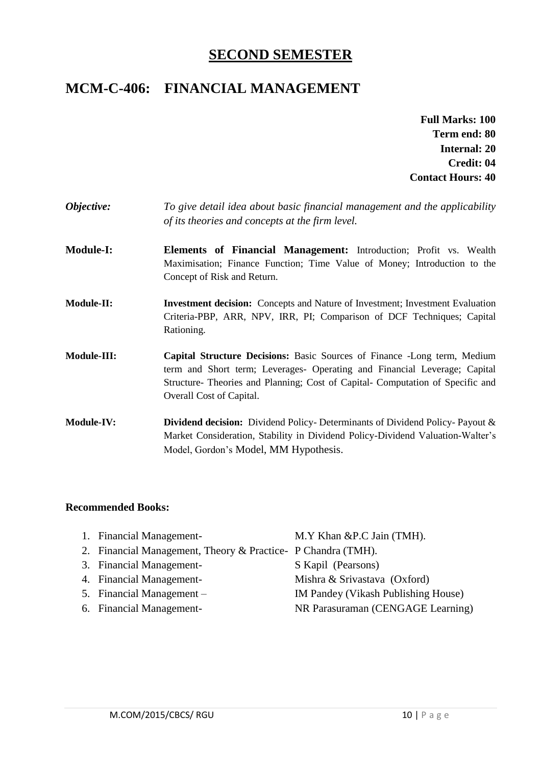## **SECOND SEMESTER**

# **MCM-C-406: FINANCIAL MANAGEMENT**

- **Full Marks: 100 Term end: 80 Internal: 20 Credit: 04 Contact Hours: 40**
- *Objective: To give detail idea about basic financial management and the applicability of its theories and concepts at the firm level.*
- **Module-I: Elements of Financial Management:** Introduction; Profit vs. Wealth Maximisation; Finance Function; Time Value of Money; Introduction to the Concept of Risk and Return.
- **Module-II: Investment decision:** Concepts and Nature of Investment; Investment Evaluation Criteria-PBP, ARR, NPV, IRR, PI; Comparison of DCF Techniques; Capital Rationing.
- **Module-III: Capital Structure Decisions:** Basic Sources of Finance -Long term, Medium term and Short term; Leverages- Operating and Financial Leverage; Capital Structure- Theories and Planning; Cost of Capital- Computation of Specific and Overall Cost of Capital.
- **Module-IV: Dividend decision:** Dividend Policy- Determinants of Dividend Policy- Payout & Market Consideration, Stability in Dividend Policy-Dividend Valuation-Walter's Model, Gordon's Model, MM Hypothesis.

| 1. Financial Management-                                      | M.Y Khan & P.C Jain (TMH).          |
|---------------------------------------------------------------|-------------------------------------|
| 2. Financial Management, Theory & Practice - P Chandra (TMH). |                                     |
| 3. Financial Management-                                      | S Kapil (Pearsons)                  |
| 4. Financial Management-                                      | Mishra & Srivastava (Oxford)        |
| 5. Financial Management –                                     | IM Pandey (Vikash Publishing House) |
| 6. Financial Management-                                      | NR Parasuraman (CENGAGE Learning)   |
|                                                               |                                     |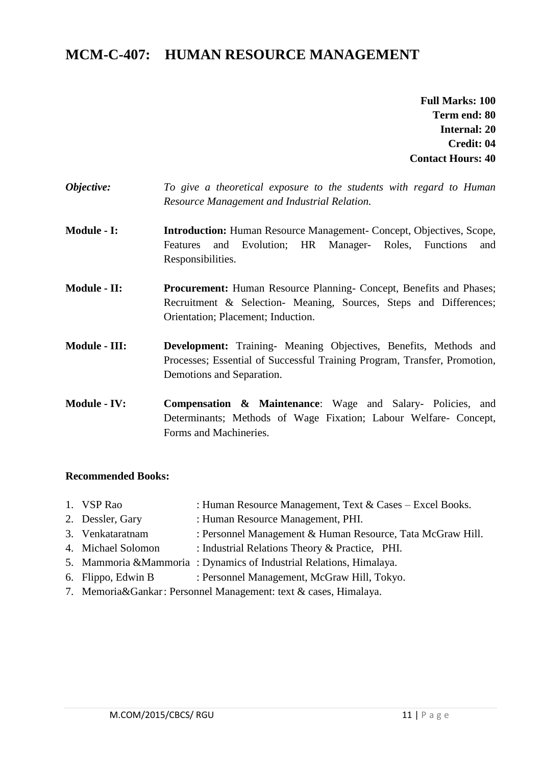# **MCM-C-407: HUMAN RESOURCE MANAGEMENT**

**Full Marks: 100 Term end: 80 Internal: 20 Credit: 04 Contact Hours: 40**

- *Objective: To give a theoretical exposure to the students with regard to Human Resource Management and Industrial Relation.*
- **Module - I: Introduction:** Human Resource Management- Concept, Objectives, Scope, Features and Evolution; HR Manager- Roles, Functions and Responsibilities.
- **Module - II: Procurement:** Human Resource Planning- Concept, Benefits and Phases; Recruitment & Selection- Meaning, Sources, Steps and Differences; Orientation; Placement; Induction.
- **Module - III: Development:** Training- Meaning Objectives, Benefits, Methods and Processes; Essential of Successful Training Program, Transfer, Promotion, Demotions and Separation.
- **Module - IV: Compensation & Maintenance**: Wage and Salary- Policies, and Determinants; Methods of Wage Fixation; Labour Welfare- Concept, Forms and Machineries.

- 1. VSP Rao : Human Resource Management, Text & Cases Excel Books.
- 2. Dessler, Gary : Human Resource Management, PHI.
- 3. Venkataratnam : Personnel Management & Human Resource, Tata McGraw Hill.
- 4. Michael Solomon : Industrial Relations Theory & Practice, PHI.
- 5. Mammoria &Mammoria : Dynamics of Industrial Relations, Himalaya.
- 6. Flippo, Edwin B : Personnel Management, McGraw Hill, Tokyo.
- 7. Memoria&Gankar: Personnel Management: text & cases, Himalaya.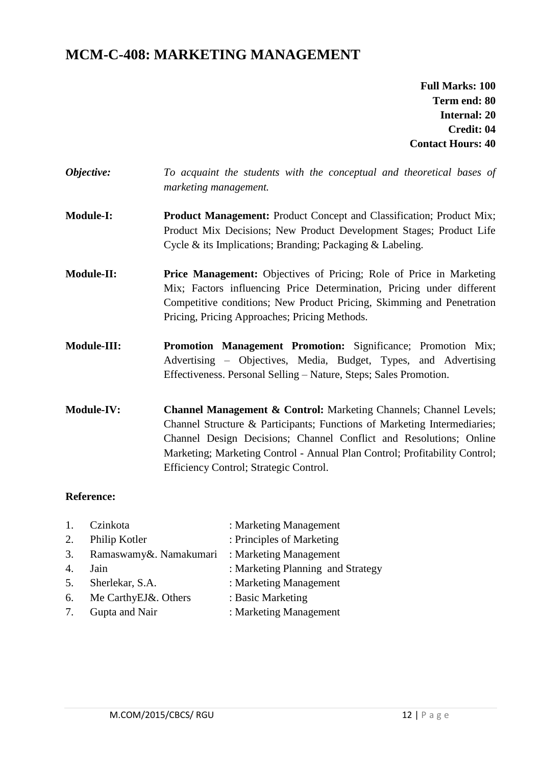# **MCM-C-408: MARKETING MANAGEMENT**

**Full Marks: 100 Term end: 80 Internal: 20 Credit: 04 Contact Hours: 40**

| Objective:         | To acquaint the students with the conceptual and theoretical bases of<br>marketing management.                                                                                                                                                                                                               |
|--------------------|--------------------------------------------------------------------------------------------------------------------------------------------------------------------------------------------------------------------------------------------------------------------------------------------------------------|
| <b>Module-I:</b>   | <b>Product Management:</b> Product Concept and Classification; Product Mix;<br>Product Mix Decisions; New Product Development Stages; Product Life<br>Cycle $\&$ its Implications; Branding; Packaging $\&$ Labeling.                                                                                        |
| <b>Module-II:</b>  | <b>Price Management:</b> Objectives of Pricing; Role of Price in Marketing<br>Mix; Factors influencing Price Determination, Pricing under different<br>Competitive conditions; New Product Pricing, Skimming and Penetration<br>Pricing, Pricing Approaches; Pricing Methods.                                |
| <b>Module-III:</b> | <b>Promotion Management Promotion:</b> Significance; Promotion Mix;<br>Advertising – Objectives, Media, Budget, Types, and Advertising<br>Effectiveness. Personal Selling - Nature, Steps; Sales Promotion.                                                                                                  |
| <b>Module-IV:</b>  | <b>Channel Management &amp; Control:</b> Marketing Channels; Channel Levels;<br>Channel Structure & Participants; Functions of Marketing Intermediaries;<br>Channel Design Decisions; Channel Conflict and Resolutions; Online<br>Marketing; Marketing Control - Annual Plan Control; Profitability Control; |

#### **Reference:**

| 1.               | Czinkota               | : Marketing Management            |
|------------------|------------------------|-----------------------------------|
| 2.               | Philip Kotler          | : Principles of Marketing         |
| 3.               | Ramaswamy&. Namakumari | : Marketing Management            |
| $\overline{4}$ . | Jain                   | : Marketing Planning and Strategy |
| 5.               | Sherlekar, S.A.        | : Marketing Management            |
| 6.               | Me CarthyEJ&. Others   | : Basic Marketing                 |
| 7.               | Gupta and Nair         | : Marketing Management            |

Efficiency Control; Strategic Control.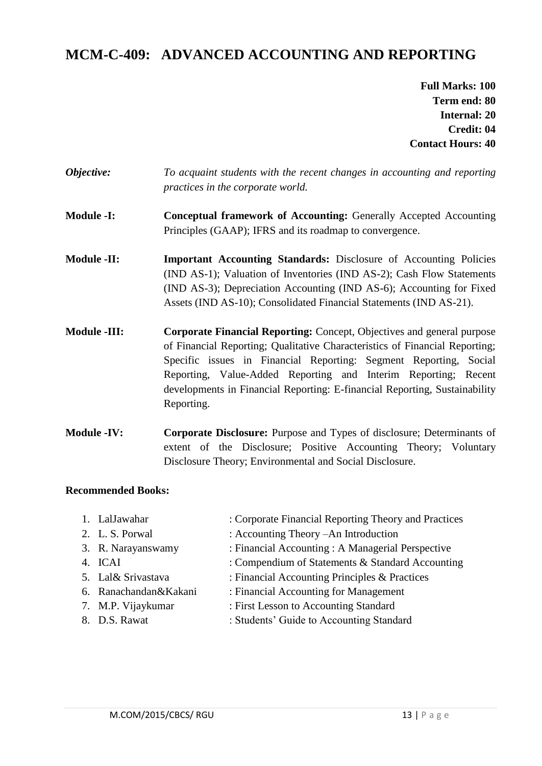# **MCM-C-409: ADVANCED ACCOUNTING AND REPORTING**

**Full Marks: 100 Term end: 80 Internal: 20 Credit: 04 Contact Hours: 40**

- *Objective: To acquaint students with the recent changes in accounting and reporting practices in the corporate world.*
- **Module -I: Conceptual framework of Accounting:** Generally Accepted Accounting Principles (GAAP); IFRS and its roadmap to convergence.
- **Module -II: Important Accounting Standards:** Disclosure of Accounting Policies (IND AS-1); Valuation of Inventories (IND AS-2); Cash Flow Statements (IND AS-3); Depreciation Accounting (IND AS-6); Accounting for Fixed Assets (IND AS-10); Consolidated Financial Statements (IND AS-21).
- **Module -III: Corporate Financial Reporting:** Concept, Objectives and general purpose of Financial Reporting; Qualitative Characteristics of Financial Reporting; Specific issues in Financial Reporting: Segment Reporting, Social Reporting, Value-Added Reporting and Interim Reporting; Recent developments in Financial Reporting: E-financial Reporting, Sustainability Reporting.
- **Module -IV: Corporate Disclosure:** Purpose and Types of disclosure; Determinants of extent of the Disclosure; Positive Accounting Theory; Voluntary Disclosure Theory; Environmental and Social Disclosure.

- 1. LalJawahar : Corporate Financial Reporting Theory and Practices 2. L. S. Porwal : Accounting Theory –An Introduction 3. R. Narayanswamy : Financial Accounting : A Managerial Perspective 4. ICAI : Compendium of Statements & Standard Accounting
- 5. Lal& Srivastava : Financial Accounting Principles & Practices
- 6. Ranachandan&Kakani : Financial Accounting for Management
- 7. M.P. Vijaykumar : First Lesson to Accounting Standard
- 8. D.S. Rawat : Students' Guide to Accounting Standard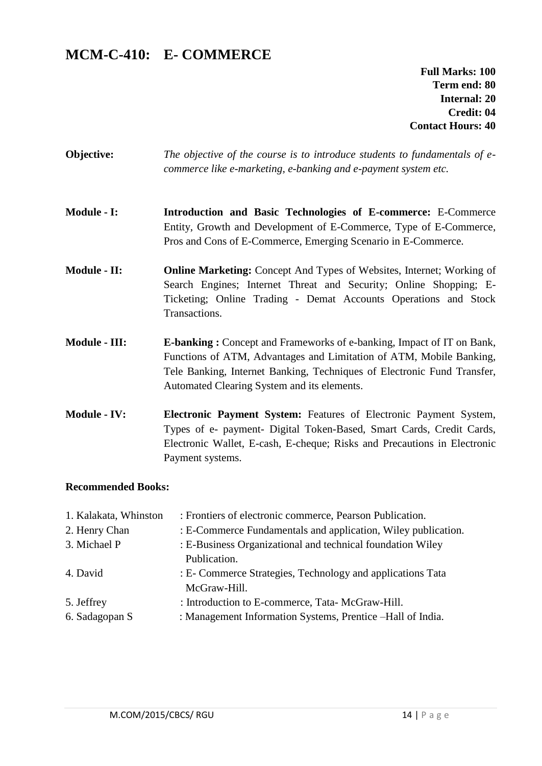# **MCM-C-410: E- COMMERCE**

**Full Marks: 100 Term end: 80 Internal: 20 Credit: 04 Contact Hours: 40**

- **Objective:** *The objective of the course is to introduce students to fundamentals of ecommerce like e-marketing, e-banking and e-payment system etc.*
- **Module - I: Introduction and Basic Technologies of E-commerce:** E-Commerce Entity, Growth and Development of E-Commerce, Type of E-Commerce, Pros and Cons of E-Commerce, Emerging Scenario in E-Commerce.
- **Module - II: Online Marketing:** Concept And Types of Websites, Internet; Working of Search Engines; Internet Threat and Security; Online Shopping; E-Ticketing; Online Trading - Demat Accounts Operations and Stock Transactions.
- **Module - III: E-banking :** Concept and Frameworks of e-banking, Impact of IT on Bank, Functions of ATM, Advantages and Limitation of ATM, Mobile Banking, Tele Banking, Internet Banking, Techniques of Electronic Fund Transfer, Automated Clearing System and its elements.
- **Module - IV: Electronic Payment System:** Features of Electronic Payment System, Types of e- payment- Digital Token-Based, Smart Cards, Credit Cards, Electronic Wallet, E-cash, E-cheque; Risks and Precautions in Electronic Payment systems.

| 1. Kalakata, Whinston | : Frontiers of electronic commerce, Pearson Publication.      |
|-----------------------|---------------------------------------------------------------|
| 2. Henry Chan         | : E-Commerce Fundamentals and application, Wiley publication. |
| 3. Michael P          | : E-Business Organizational and technical foundation Wiley    |
|                       | Publication.                                                  |
| 4. David              | : E- Commerce Strategies, Technology and applications Tata    |
|                       | McGraw-Hill.                                                  |
| 5. Jeffrey            | : Introduction to E-commerce, Tata-McGraw-Hill.               |
| 6. Sadagopan S        | : Management Information Systems, Prentice -Hall of India.    |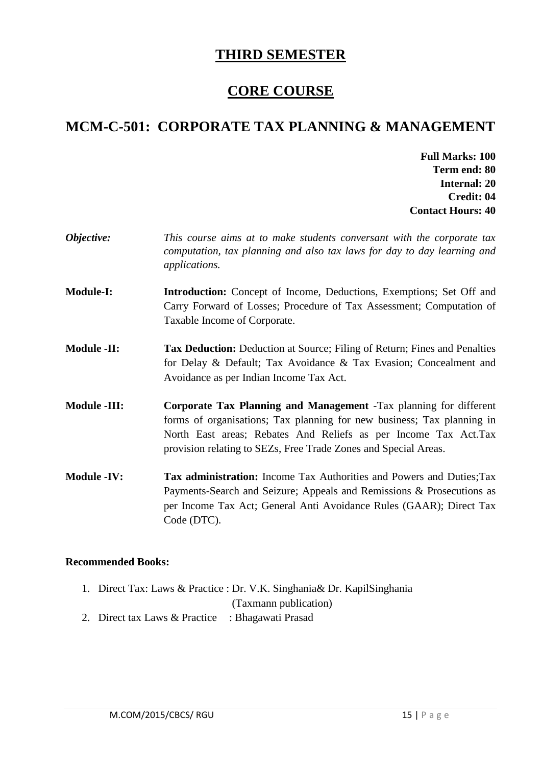# **THIRD SEMESTER**

# **CORE COURSE**

# **MCM-C-501: CORPORATE TAX PLANNING & MANAGEMENT**

- **Full Marks: 100 Term end: 80 Internal: 20 Credit: 04 Contact Hours: 40**
- *Objective: This course aims at to make students conversant with the corporate tax computation, tax planning and also tax laws for day to day learning and applications.*  **Module-I: Introduction:** Concept of Income, Deductions, Exemptions; Set Off and Carry Forward of Losses; Procedure of Tax Assessment; Computation of Taxable Income of Corporate. **Module -II: Tax Deduction:** Deduction at Source; Filing of Return; Fines and Penalties for Delay & Default; Tax Avoidance & Tax Evasion; Concealment and Avoidance as per Indian Income Tax Act. **Module -III: Corporate Tax Planning and Management** -Tax planning for different forms of organisations; Tax planning for new business; Tax planning in North East areas; Rebates And Reliefs as per Income Tax Act.Tax provision relating to SEZs, Free Trade Zones and Special Areas. **Module -IV: Tax administration:** Income Tax Authorities and Powers and Duties;Tax Payments-Search and Seizure; Appeals and Remissions & Prosecutions as per Income Tax Act; General Anti Avoidance Rules (GAAR); Direct Tax Code (DTC).

- 1. Direct Tax: Laws & Practice : Dr. V.K. Singhania& Dr. KapilSinghania
	- (Taxmann publication)
- 2. Direct tax Laws & Practice : Bhagawati Prasad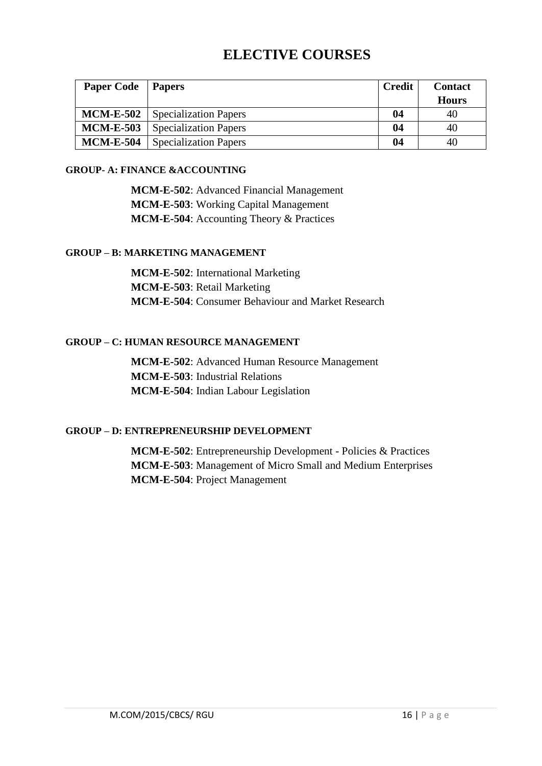# **ELECTIVE COURSES**

| <b>Paper Code</b> | <b>Papers</b>                | <b>Credit</b> | <b>Contact</b> |
|-------------------|------------------------------|---------------|----------------|
|                   |                              |               | <b>Hours</b>   |
| <b>MCM-E-502</b>  | <b>Specialization Papers</b> | 04            | 40             |
| <b>MCM-E-503</b>  | <b>Specialization Papers</b> | 04            | 40             |
| <b>MCM-E-504</b>  | <b>Specialization Papers</b> | 04            | 40             |

#### **GROUP- A: FINANCE &ACCOUNTING**

**MCM-E-502**: Advanced Financial Management **MCM-E-503**: Working Capital Management **MCM-E-504**: Accounting Theory & Practices

#### **GROUP – B: MARKETING MANAGEMENT**

**MCM-E-502**: International Marketing **MCM-E-503**: Retail Marketing **MCM-E-504**: Consumer Behaviour and Market Research

#### **GROUP – C: HUMAN RESOURCE MANAGEMENT**

**MCM-E-502**: Advanced Human Resource Management **MCM-E-503**: Industrial Relations **MCM-E-504**: Indian Labour Legislation

#### **GROUP – D: ENTREPRENEURSHIP DEVELOPMENT**

**MCM-E-502**: Entrepreneurship Development - Policies & Practices **MCM-E-503**: Management of Micro Small and Medium Enterprises **MCM-E-504**: Project Management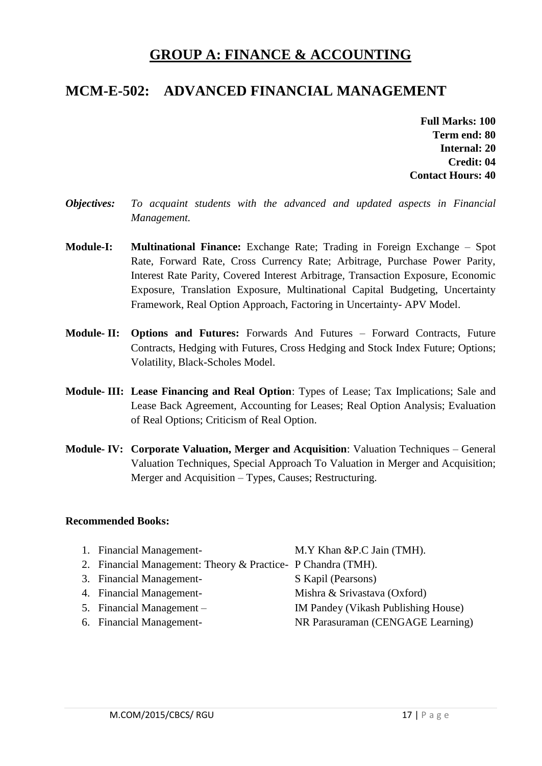# **GROUP A: FINANCE & ACCOUNTING**

# **MCM-E-502: ADVANCED FINANCIAL MANAGEMENT**

**Full Marks: 100 Term end: 80 Internal: 20 Credit: 04 Contact Hours: 40**

- *Objectives: To acquaint students with the advanced and updated aspects in Financial Management.*
- **Module-I: Multinational Finance:** Exchange Rate; Trading in Foreign Exchange Spot Rate, Forward Rate, Cross Currency Rate; Arbitrage, Purchase Power Parity, Interest Rate Parity, Covered Interest Arbitrage, Transaction Exposure, Economic Exposure, Translation Exposure, Multinational Capital Budgeting, Uncertainty Framework, Real Option Approach, Factoring in Uncertainty- APV Model.
- **Module- II: Options and Futures:** Forwards And Futures Forward Contracts, Future Contracts, Hedging with Futures, Cross Hedging and Stock Index Future; Options; Volatility, Black-Scholes Model.
- **Module- III: Lease Financing and Real Option**: Types of Lease; Tax Implications; Sale and Lease Back Agreement, Accounting for Leases; Real Option Analysis; Evaluation of Real Options; Criticism of Real Option.
- **Module- IV: Corporate Valuation, Merger and Acquisition**: Valuation Techniques General Valuation Techniques, Special Approach To Valuation in Merger and Acquisition; Merger and Acquisition – Types, Causes; Restructuring.

| 1. Financial Management-                                      | M.Y Khan &P.C Jain (TMH).           |
|---------------------------------------------------------------|-------------------------------------|
| 2. Financial Management: Theory & Practice - P Chandra (TMH). |                                     |
| 3. Financial Management-                                      | S Kapil (Pearsons)                  |
| 4. Financial Management-                                      | Mishra & Srivastava (Oxford)        |
| 5. Financial Management –                                     | IM Pandey (Vikash Publishing House) |
| 6. Financial Management-                                      | NR Parasuraman (CENGAGE Learning)   |
|                                                               |                                     |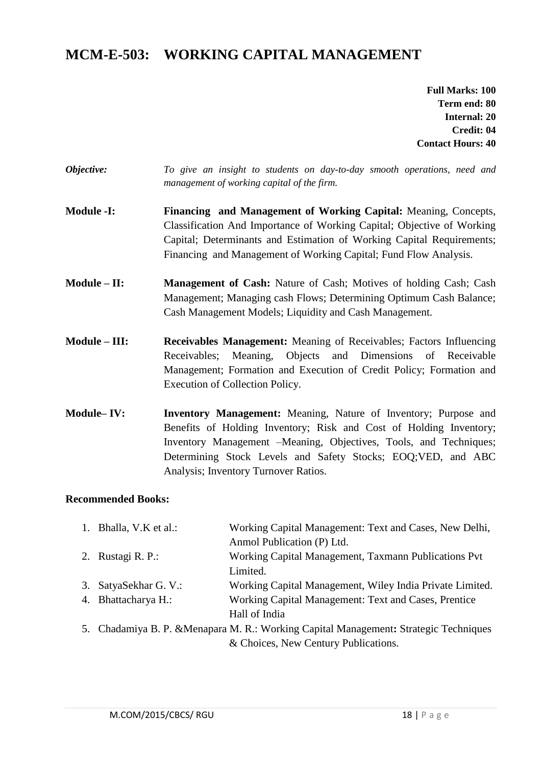# **MCM-E-503: WORKING CAPITAL MANAGEMENT**

**Full Marks: 100 Term end: 80 Internal: 20 Credit: 04 Contact Hours: 40**

- *Objective: To give an insight to students on day-to-day smooth operations, need and management of working capital of the firm.*
- **Module -I: Financing and Management of Working Capital:** Meaning, Concepts, Classification And Importance of Working Capital; Objective of Working Capital; Determinants and Estimation of Working Capital Requirements; Financing and Management of Working Capital; Fund Flow Analysis.
- **Module II: Management of Cash:** Nature of Cash; Motives of holding Cash; Cash Management; Managing cash Flows; Determining Optimum Cash Balance; Cash Management Models; Liquidity and Cash Management.
- **Module – III: Receivables Management:** Meaning of Receivables; Factors Influencing Receivables; Meaning, Objects and Dimensions of Receivable Management; Formation and Execution of Credit Policy; Formation and Execution of Collection Policy.
- **Module– IV: Inventory Management:** Meaning, Nature of Inventory; Purpose and Benefits of Holding Inventory; Risk and Cost of Holding Inventory; Inventory Management –Meaning, Objectives, Tools, and Techniques; Determining Stock Levels and Safety Stocks; EOQ;VED, and ABC Analysis; Inventory Turnover Ratios.

| 1. Bhalla, V.K et al.: | Working Capital Management: Text and Cases, New Delhi,                                |
|------------------------|---------------------------------------------------------------------------------------|
|                        | Anmol Publication (P) Ltd.                                                            |
| 2. Rustagi R. P.:      | Working Capital Management, Taxmann Publications Pvt                                  |
|                        | Limited.                                                                              |
| 3. SatyaSekhar G. V.:  | Working Capital Management, Wiley India Private Limited.                              |
| 4. Bhattacharya H.:    | Working Capital Management: Text and Cases, Prentice                                  |
|                        | Hall of India                                                                         |
|                        | 5. Chadamiya B. P. & Menapara M. R.: Working Capital Management: Strategic Techniques |
|                        | & Choices, New Century Publications.                                                  |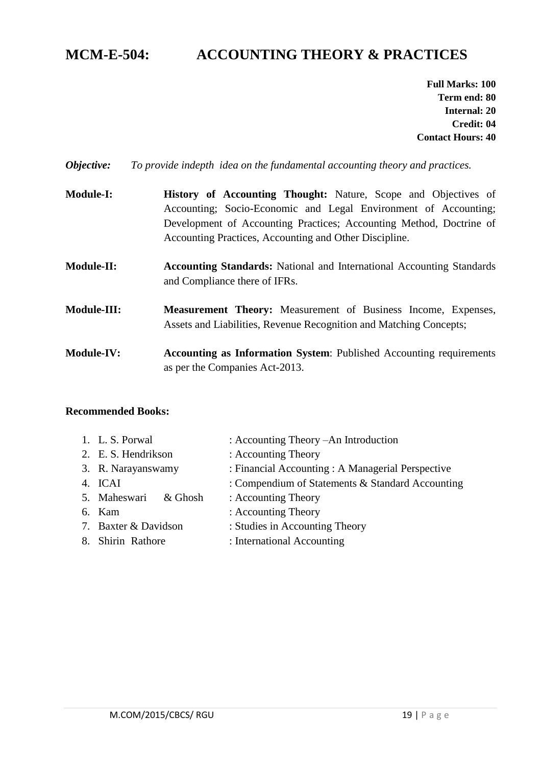# **MCM-E-504: ACCOUNTING THEORY & PRACTICES**

**Full Marks: 100 Term end: 80 Internal: 20 Credit: 04 Contact Hours: 40**

*Objective: To provide indepth idea on the fundamental accounting theory and practices.*

- **Module-I: History of Accounting Thought:** Nature, Scope and Objectives of Accounting; Socio-Economic and Legal Environment of Accounting; Development of Accounting Practices; Accounting Method, Doctrine of Accounting Practices, Accounting and Other Discipline.
- **Module-II: Accounting Standards:** National and International Accounting Standards and Compliance there of IFRs.
- **Module-III: Measurement Theory:** Measurement of Business Income, Expenses, Assets and Liabilities, Revenue Recognition and Matching Concepts;
- **Module-IV: Accounting as Information System**: Published Accounting requirements as per the Companies Act-2013.

| 1. L.S. Porwal       | : Accounting Theory – An Introduction             |
|----------------------|---------------------------------------------------|
| 2. E. S. Hendrikson  | : Accounting Theory                               |
| 3. R. Narayanswamy   | : Financial Accounting : A Managerial Perspective |
| 4. ICAI              | : Compendium of Statements & Standard Accounting  |
| 5. Maheswari & Ghosh | : Accounting Theory                               |
| 6. Kam               | : Accounting Theory                               |
| 7. Baxter & Davidson | : Studies in Accounting Theory                    |
| 8. Shirin Rathore    | : International Accounting                        |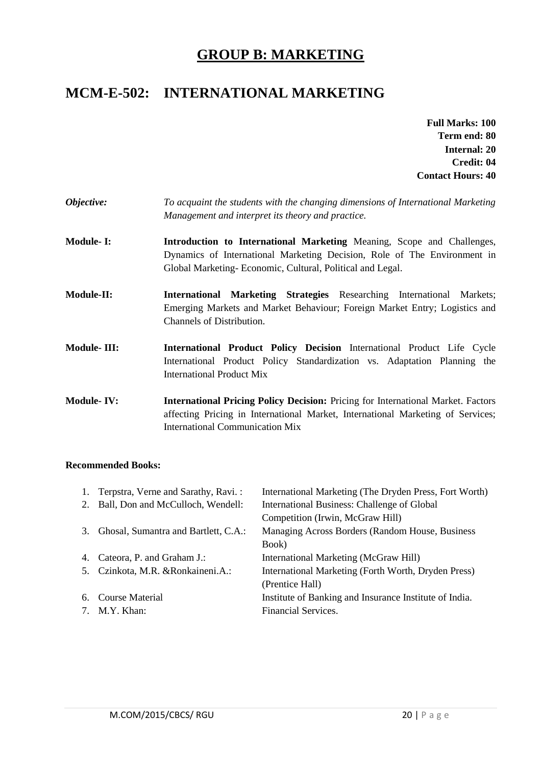# **GROUP B: MARKETING**

# **MCM-E-502: INTERNATIONAL MARKETING**

- **Full Marks: 100 Term end: 80 Internal: 20 Credit: 04 Contact Hours: 40**
- *Objective: To acquaint the students with the changing dimensions of International Marketing Management and interpret its theory and practice.*
- **Module- I: Introduction to International Marketing** Meaning, Scope and Challenges, Dynamics of International Marketing Decision, Role of The Environment in Global Marketing- Economic, Cultural, Political and Legal.
- **Module-II: International Marketing Strategies** Researching International Markets; Emerging Markets and Market Behaviour; Foreign Market Entry; Logistics and Channels of Distribution.
- **Module- III: International Product Policy Decision** International Product Life Cycle International Product Policy Standardization vs. Adaptation Planning the International Product Mix
- **Module- IV: International Pricing Policy Decision:** Pricing for International Market. Factors affecting Pricing in International Market, International Marketing of Services; International Communication Mix

|    | 1. Terpstra, Verne and Sarathy, Ravi.: | International Marketing (The Dryden Press, Fort Worth) |
|----|----------------------------------------|--------------------------------------------------------|
|    | 2. Ball, Don and McCulloch, Wendell:   | International Business: Challenge of Global            |
|    |                                        | Competition (Irwin, McGraw Hill)                       |
| 3. | Ghosal, Sumantra and Bartlett, C.A.:   | Managing Across Borders (Random House, Business        |
|    |                                        | Book)                                                  |
|    | 4. Cateora, P. and Graham J.:          | International Marketing (McGraw Hill)                  |
|    | 5. Czinkota, M.R. & Ronkaineni.A.:     | International Marketing (Forth Worth, Dryden Press)    |
|    |                                        | (Prentice Hall)                                        |
|    | 6. Course Material                     | Institute of Banking and Insurance Institute of India. |
|    | 7. M.Y. Khan:                          | Financial Services.                                    |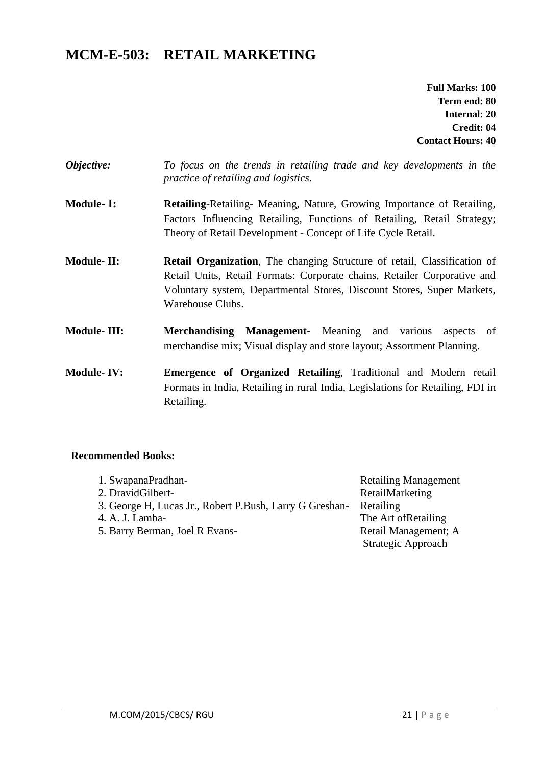# **MCM-E-503: RETAIL MARKETING**

**Full Marks: 100 Term end: 80 Internal: 20 Credit: 04 Contact Hours: 40**

- *Objective: To focus on the trends in retailing trade and key developments in the practice of retailing and logistics.*
- **Module- I: Retailing**-Retailing- Meaning, Nature, Growing Importance of Retailing, Factors Influencing Retailing, Functions of Retailing, Retail Strategy; Theory of Retail Development - Concept of Life Cycle Retail.
- **Module-II:** Retail Organization, The changing Structure of retail, Classification of Retail Units, Retail Formats: Corporate chains, Retailer Corporative and Voluntary system, Departmental Stores, Discount Stores, Super Markets, Warehouse Clubs.
- **Module- III: Merchandising Management-** Meaning and various aspects of merchandise mix; Visual display and store layout; Assortment Planning.
- **Module- IV: Emergence of Organized Retailing**, Traditional and Modern retail Formats in India, Retailing in rural India, Legislations for Retailing, FDI in Retailing.

| 1. SwapanaPradhan-                                      | <b>Retailing Management</b> |
|---------------------------------------------------------|-----------------------------|
| 2. DravidGilbert-                                       | RetailMarketing             |
| 3. George H, Lucas Jr., Robert P.Bush, Larry G Greshan- | Retailing                   |
| 4. A. J. Lamba-                                         | The Art of Retailing        |
| 5. Barry Berman, Joel R Evans-                          | Retail Management; A        |
|                                                         | Strategic Approach          |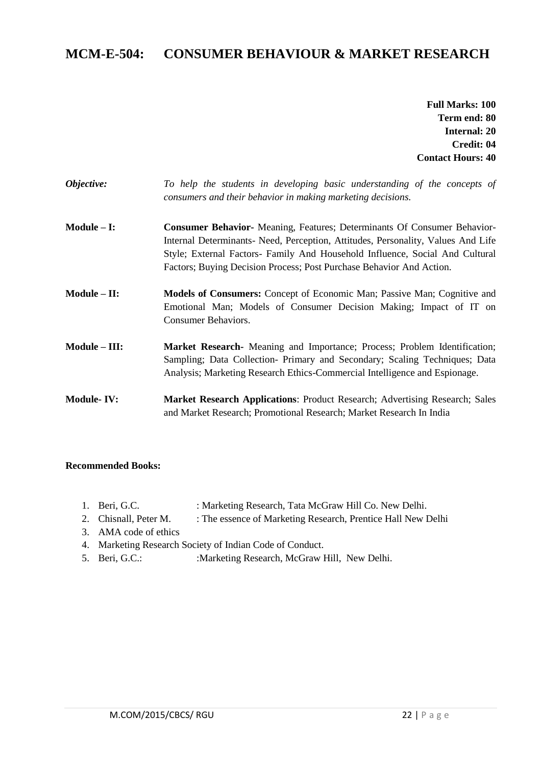### **MCM-E-504: CONSUMER BEHAVIOUR & MARKET RESEARCH**

**Full Marks: 100 Term end: 80 Internal: 20 Credit: 04 Contact Hours: 40**

| Objective: |  |  |  | To help the students in developing basic understanding of the concepts of |  |  |
|------------|--|--|--|---------------------------------------------------------------------------|--|--|
|            |  |  |  | consumers and their behavior in making marketing decisions.               |  |  |

- **Module – I: Consumer Behavior-** Meaning, Features; Determinants Of Consumer Behavior-Internal Determinants- Need, Perception, Attitudes, Personality, Values And Life Style; External Factors- Family And Household Influence, Social And Cultural Factors; Buying Decision Process; Post Purchase Behavior And Action.
- **Module – II: Models of Consumers:** Concept of Economic Man; Passive Man; Cognitive and Emotional Man; Models of Consumer Decision Making; Impact of IT on Consumer Behaviors.
- **Module – III: Market Research-** Meaning and Importance; Process; Problem Identification; Sampling; Data Collection- Primary and Secondary; Scaling Techniques; Data Analysis; Marketing Research Ethics-Commercial Intelligence and Espionage.
- **Module- IV: Market Research Applications**: Product Research; Advertising Research; Sales and Market Research; Promotional Research; Market Research In India

- 1. Beri, G.C. : Marketing Research, Tata McGraw Hill Co. New Delhi.
- 2. Chisnall, Peter M. : The essence of Marketing Research, Prentice Hall New Delhi
- 3. AMA code of ethics
- 4. Marketing Research Society of Indian Code of Conduct.
- 5. Beri, G.C.: : :Marketing Research, McGraw Hill, New Delhi.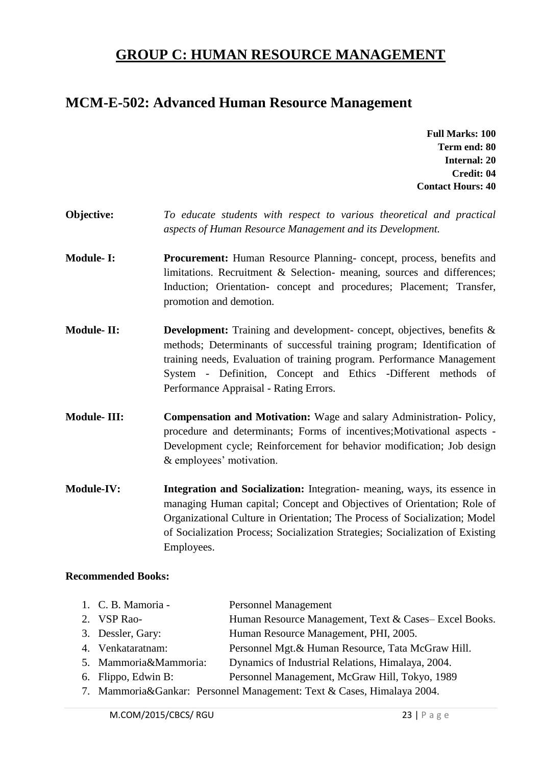# **GROUP C: HUMAN RESOURCE MANAGEMENT**

### **MCM-E-502: Advanced Human Resource Management**

**Full Marks: 100 Term end: 80 Internal: 20 Credit: 04 Contact Hours: 40**

- **Objective:** *To educate students with respect to various theoretical and practical aspects of Human Resource Management and its Development.*
- **Module- I: Procurement:** Human Resource Planning- concept, process, benefits and limitations. Recruitment & Selection- meaning, sources and differences; Induction; Orientation- concept and procedures; Placement; Transfer, promotion and demotion.
- **Module- II: Development:** Training and development- concept, objectives, benefits & methods; Determinants of successful training program; Identification of training needs, Evaluation of training program. Performance Management System - Definition, Concept and Ethics -Different methods of Performance Appraisal - Rating Errors.
- **Module- III: Compensation and Motivation:** Wage and salary Administration- Policy, procedure and determinants; Forms of incentives;Motivational aspects - Development cycle; Reinforcement for behavior modification; Job design & employees' motivation.
- **Module-IV: Integration and Socialization:** Integration- meaning, ways, its essence in managing Human capital; Concept and Objectives of Orientation; Role of Organizational Culture in Orientation; The Process of Socialization; Model of Socialization Process; Socialization Strategies; Socialization of Existing Employees.

| 1. C. B. Mamoria -    | <b>Personnel Management</b>                                            |
|-----------------------|------------------------------------------------------------------------|
| 2. VSP Rao-           | Human Resource Management, Text & Cases– Excel Books.                  |
| 3. Dessler, Gary:     | Human Resource Management, PHI, 2005.                                  |
| 4. Venkataratnam:     | Personnel Mgt. & Human Resource, Tata McGraw Hill.                     |
| 5. Mammoria&Mammoria: | Dynamics of Industrial Relations, Himalaya, 2004.                      |
| 6. Flippo, Edwin B:   | Personnel Management, McGraw Hill, Tokyo, 1989                         |
|                       | 7. Mammoria&Gankar: Personnel Management: Text & Cases, Himalaya 2004. |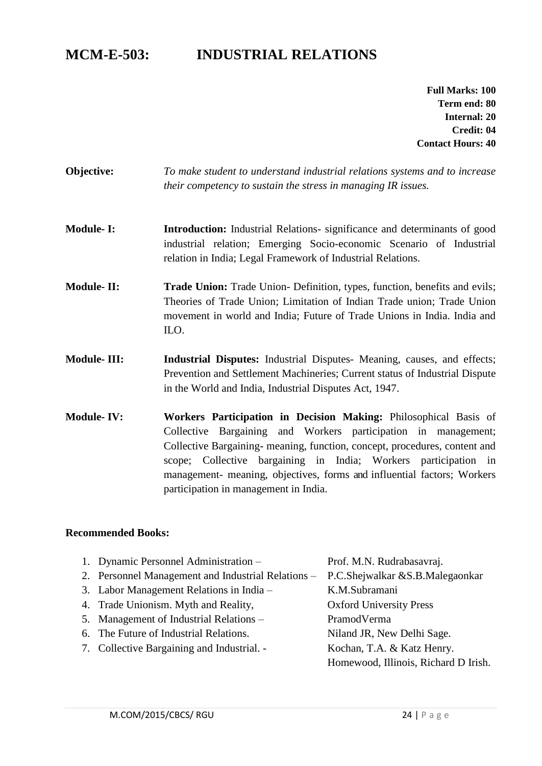# **MCM-E-503: INDUSTRIAL RELATIONS**

**Full Marks: 100 Term end: 80 Internal: 20 Credit: 04 Contact Hours: 40**

- **Objective:** *To make student to understand industrial relations systems and to increase their competency to sustain the stress in managing IR issues.*
- **Module- I: Introduction:** Industrial Relations- significance and determinants of good industrial relation; Emerging Socio-economic Scenario of Industrial relation in India; Legal Framework of Industrial Relations.
- **Module- II: Trade Union:** Trade Union- Definition, types, function, benefits and evils; Theories of Trade Union; Limitation of Indian Trade union; Trade Union movement in world and India; Future of Trade Unions in India. India and ILO.
- **Module- III: Industrial Disputes:** Industrial Disputes- Meaning, causes, and effects; Prevention and Settlement Machineries; Current status of Industrial Dispute in the World and India, Industrial Disputes Act, 1947.
- **Module- IV: Workers Participation in Decision Making:** Philosophical Basis of Collective Bargaining and Workers participation in management; Collective Bargaining- meaning, function, concept, procedures, content and scope; Collective bargaining in India; Workers participation in management- meaning, objectives, forms and influential factors; Workers participation in management in India.

#### **Recommended Books:**

1. Dynamic Personnel Administration – Prof. M.N. Rudrabasavraj. 2. Personnel Management and Industrial Relations – P.C.Shejwalkar &S.B.Malegaonkar 3. Labor Management Relations in India – K.M.Subramani 4. Trade Unionism. Myth and Reality, Oxford University Press 5. Management of Industrial Relations – PramodVerma 6. The Future of Industrial Relations. Niland JR, New Delhi Sage. 7. Collective Bargaining and Industrial. - Kochan, T.A. & Katz Henry. Homewood, Illinois, Richard D Irish.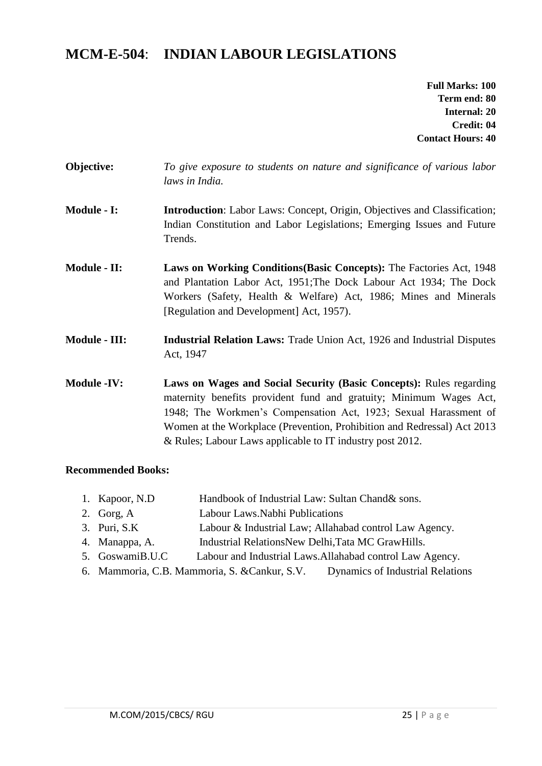# **MCM-E-504**: **INDIAN LABOUR LEGISLATIONS**

**Full Marks: 100 Term end: 80 Internal: 20 Credit: 04 Contact Hours: 40**

- **Objective:** *To give exposure to students on nature and significance of various labor laws in India.*
- **Module - I: Introduction**: Labor Laws: Concept, Origin, Objectives and Classification; Indian Constitution and Labor Legislations; Emerging Issues and Future Trends.
- **Module - II: Laws on Working Conditions(Basic Concepts):** The Factories Act, 1948 and Plantation Labor Act, 1951;The Dock Labour Act 1934; The Dock Workers (Safety, Health & Welfare) Act, 1986; Mines and Minerals [Regulation and Development] Act, 1957).
- **Module - III: Industrial Relation Laws:** Trade Union Act, 1926 and Industrial Disputes Act, 1947
- **Module -IV: Laws on Wages and Social Security (Basic Concepts):** Rules regarding maternity benefits provident fund and gratuity; Minimum Wages Act, 1948; The Workmen's Compensation Act, 1923; Sexual Harassment of Women at the Workplace (Prevention, Prohibition and Redressal) Act 2013 & Rules; Labour Laws applicable to IT industry post 2012.

- 1. Kapoor, N.D Handbook of Industrial Law: Sultan Chand& sons. 2. Gorg, A Labour Laws.Nabhi Publications 3. Puri, S.K Labour & Industrial Law; Allahabad control Law Agency. 4. Manappa, A. Industrial RelationsNew Delhi,Tata MC GrawHills. 5. GoswamiB.U.C Labour and Industrial Laws.Allahabad control Law Agency.
- 6. Mammoria, C.B. Mammoria, S. &Cankur, S.V. Dynamics of Industrial Relations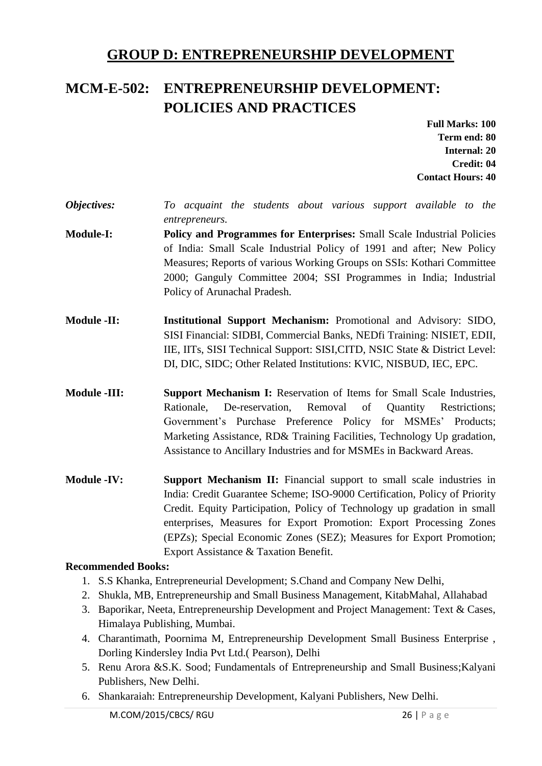# **GROUP D: ENTREPRENEURSHIP DEVELOPMENT**

# **MCM-E-502: ENTREPRENEURSHIP DEVELOPMENT: POLICIES AND PRACTICES**

**Full Marks: 100 Term end: 80 Internal: 20 Credit: 04 Contact Hours: 40**

- *Objectives: To acquaint the students about various support available to the entrepreneurs.*
- **Module-I: Policy and Programmes for Enterprises:** Small Scale Industrial Policies of India: Small Scale Industrial Policy of 1991 and after; New Policy Measures; Reports of various Working Groups on SSIs: Kothari Committee 2000; Ganguly Committee 2004; SSI Programmes in India; Industrial Policy of Arunachal Pradesh.
- **Module -II: Institutional Support Mechanism:** Promotional and Advisory: SIDO, SISI Financial: SIDBI, Commercial Banks, NEDfi Training: NISIET, EDII, IIE, IITs, SISI Technical Support: SISI,CITD, NSIC State & District Level: DI, DIC, SIDC; Other Related Institutions: KVIC, NISBUD, IEC, EPC.
- **Module -III: Support Mechanism I:** Reservation of Items for Small Scale Industries, Rationale, De-reservation, Removal of Quantity Restrictions; Government's Purchase Preference Policy for MSMEs' Products; Marketing Assistance, RD& Training Facilities, Technology Up gradation, Assistance to Ancillary Industries and for MSMEs in Backward Areas.
- **Module -IV: Support Mechanism II:** Financial support to small scale industries in India: Credit Guarantee Scheme; ISO-9000 Certification, Policy of Priority Credit. Equity Participation, Policy of Technology up gradation in small enterprises, Measures for Export Promotion: Export Processing Zones (EPZs); Special Economic Zones (SEZ); Measures for Export Promotion; Export Assistance & Taxation Benefit.

- 1. S.S Khanka, Entrepreneurial Development; S.Chand and Company New Delhi,
- 2. Shukla, MB, Entrepreneurship and Small Business Management, KitabMahal, Allahabad
- 3. Baporikar, Neeta, Entrepreneurship Development and Project Management: Text & Cases, Himalaya Publishing, Mumbai.
- 4. Charantimath, Poornima M, Entrepreneurship Development Small Business Enterprise , Dorling Kindersley India Pvt Ltd.( Pearson), Delhi
- 5. Renu Arora &S.K. Sood; Fundamentals of Entrepreneurship and Small Business;Kalyani Publishers, New Delhi.
- 6. Shankaraiah: Entrepreneurship Development, Kalyani Publishers, New Delhi.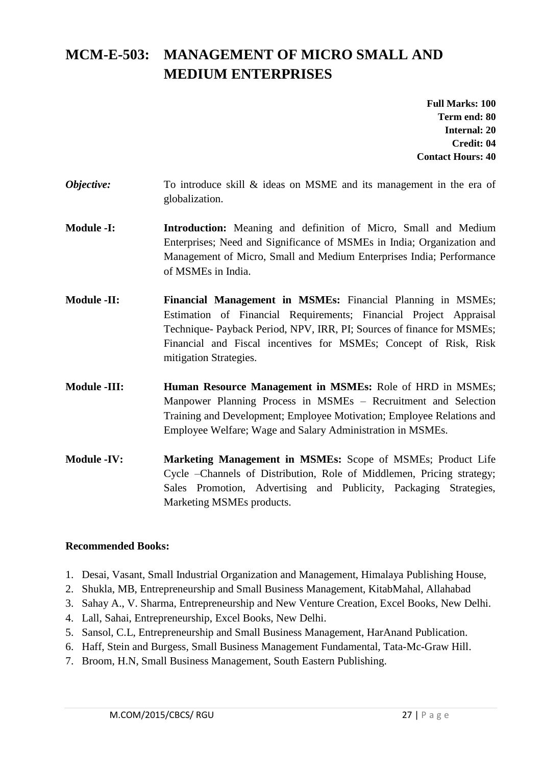# **MCM-E-503: MANAGEMENT OF MICRO SMALL AND MEDIUM ENTERPRISES**

**Full Marks: 100 Term end: 80 Internal: 20 Credit: 04 Contact Hours: 40**

- *Objective:* To introduce skill & ideas on MSME and its management in the era of globalization.
- **Module -I: Introduction:** Meaning and definition of Micro, Small and Medium Enterprises; Need and Significance of MSMEs in India; Organization and Management of Micro, Small and Medium Enterprises India; Performance of MSMEs in India.
- **Module -II: Financial Management in MSMEs:** Financial Planning in MSMEs; Estimation of Financial Requirements; Financial Project Appraisal Technique- Payback Period, NPV, IRR, PI; Sources of finance for MSMEs; Financial and Fiscal incentives for MSMEs; Concept of Risk, Risk mitigation Strategies.
- **Module -III: Human Resource Management in MSMEs:** Role of HRD in MSMEs; Manpower Planning Process in MSMEs – Recruitment and Selection Training and Development; Employee Motivation; Employee Relations and Employee Welfare; Wage and Salary Administration in MSMEs.
- **Module -IV: Marketing Management in MSMEs:** Scope of MSMEs; Product Life Cycle –Channels of Distribution, Role of Middlemen, Pricing strategy; Sales Promotion, Advertising and Publicity, Packaging Strategies, Marketing MSMEs products.

- 1. Desai, Vasant, Small Industrial Organization and Management, Himalaya Publishing House,
- 2. Shukla, MB, Entrepreneurship and Small Business Management, KitabMahal, Allahabad
- 3. Sahay A., V. Sharma, Entrepreneurship and New Venture Creation, Excel Books, New Delhi.
- 4. Lall, Sahai, Entrepreneurship, Excel Books, New Delhi.
- 5. Sansol, C.L, Entrepreneurship and Small Business Management, HarAnand Publication.
- 6. Haff, Stein and Burgess, Small Business Management Fundamental, Tata-Mc-Graw Hill.
- 7. Broom, H.N, Small Business Management, South Eastern Publishing.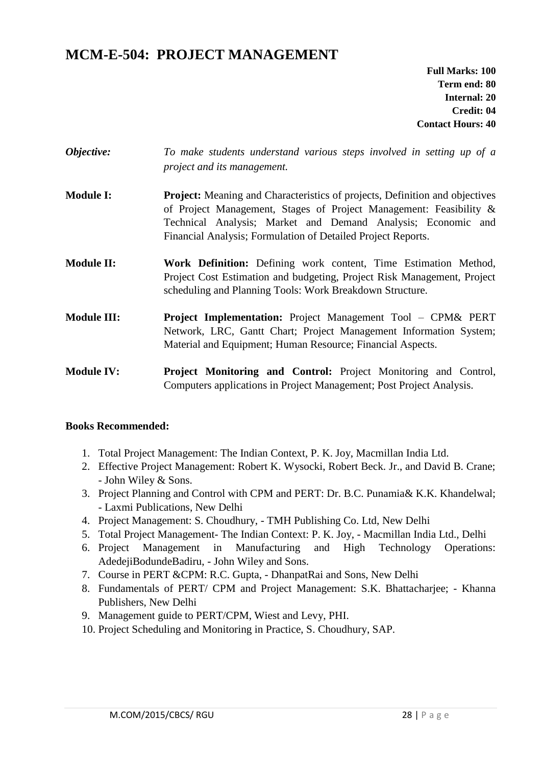# **MCM-E-504: PROJECT MANAGEMENT**

**Full Marks: 100 Term end: 80 Internal: 20 Credit: 04 Contact Hours: 40**

| Objective:         | To make students understand various steps involved in setting up of a<br>project and its management.                                                                                                                                                                              |
|--------------------|-----------------------------------------------------------------------------------------------------------------------------------------------------------------------------------------------------------------------------------------------------------------------------------|
| <b>Module I:</b>   | Project: Meaning and Characteristics of projects, Definition and objectives<br>of Project Management, Stages of Project Management: Feasibility &<br>Technical Analysis; Market and Demand Analysis; Economic and<br>Financial Analysis; Formulation of Detailed Project Reports. |
| <b>Module II:</b>  | Work Definition: Defining work content, Time Estimation Method,<br>Project Cost Estimation and budgeting, Project Risk Management, Project<br>scheduling and Planning Tools: Work Breakdown Structure.                                                                            |
| <b>Module III:</b> | <b>Project Implementation:</b> Project Management Tool - CPM& PERT<br>Network, LRC, Gantt Chart; Project Management Information System;<br>Material and Equipment; Human Resource; Financial Aspects.                                                                             |
| <b>Module IV:</b>  | <b>Project Monitoring and Control:</b> Project Monitoring and Control,<br>Computers applications in Project Management; Post Project Analysis.                                                                                                                                    |

#### **Books Recommended:**

- 1. Total Project Management: The Indian Context, P. K. Joy, Macmillan India Ltd.
- 2. Effective Project Management: Robert K. Wysocki, Robert Beck. Jr., and David B. Crane; - John Wiley & Sons.
- 3. Project Planning and Control with CPM and PERT: Dr. B.C. Punamia& K.K. Khandelwal; - Laxmi Publications, New Delhi
- 4. Project Management: S. Choudhury, TMH Publishing Co. Ltd, New Delhi
- 5. Total Project Management- The Indian Context: P. K. Joy, Macmillan India Ltd., Delhi
- 6. Project Management in Manufacturing and High Technology Operations: AdedejiBodundeBadiru, - John Wiley and Sons.
- 7. Course in PERT &CPM: R.C. Gupta, DhanpatRai and Sons, New Delhi
- 8. Fundamentals of PERT/ CPM and Project Management: S.K. Bhattacharjee; Khanna Publishers, New Delhi
- 9. Management guide to PERT/CPM, Wiest and Levy, PHI.
- 10. Project Scheduling and Monitoring in Practice, S. Choudhury, SAP.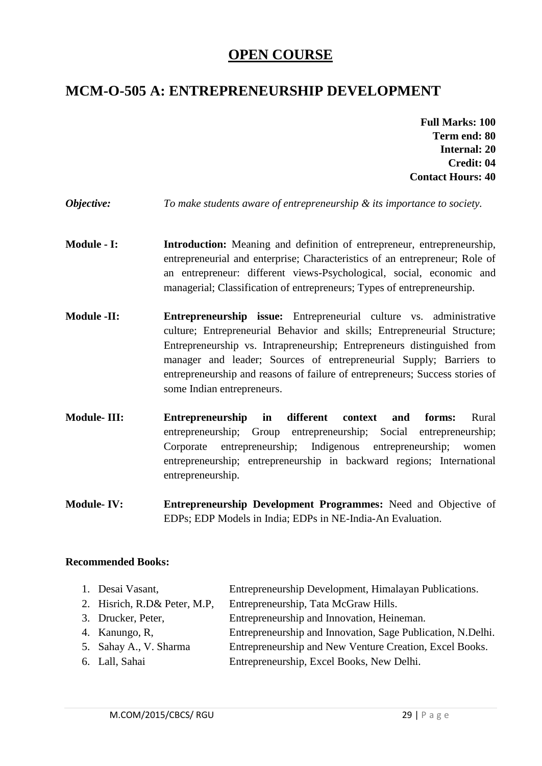# **OPEN COURSE**

# **MCM-O-505 A: ENTREPRENEURSHIP DEVELOPMENT**

- **Full Marks: 100 Term end: 80 Internal: 20 Credit: 04 Contact Hours: 40**
- *Objective: To make students aware of entrepreneurship & its importance to society.*
- **Module I: Introduction:** Meaning and definition of entrepreneur, entrepreneurship, entrepreneurial and enterprise; Characteristics of an entrepreneur; Role of an entrepreneur: different views-Psychological, social, economic and managerial; Classification of entrepreneurs; Types of entrepreneurship.
- **Module -II: Entrepreneurship issue:** Entrepreneurial culture vs. administrative culture; Entrepreneurial Behavior and skills; Entrepreneurial Structure; Entrepreneurship vs. Intrapreneurship; Entrepreneurs distinguished from manager and leader; Sources of entrepreneurial Supply; Barriers to entrepreneurship and reasons of failure of entrepreneurs; Success stories of some Indian entrepreneurs.
- **Module- III: Entrepreneurship in different context and forms:** Rural entrepreneurship; Group entrepreneurship; Social entrepreneurship; Corporate entrepreneurship; Indigenous entrepreneurship; women entrepreneurship; entrepreneurship in backward regions; International entrepreneurship.
- **Module- IV: Entrepreneurship Development Programmes:** Need and Objective of EDPs; EDP Models in India; EDPs in NE-India-An Evaluation.

| Entrepreneurship and Innovation, Heineman.                  |
|-------------------------------------------------------------|
| Entrepreneurship and Innovation, Sage Publication, N.Delhi. |
| Entrepreneurship and New Venture Creation, Excel Books.     |
| Entrepreneurship, Excel Books, New Delhi.                   |
|                                                             |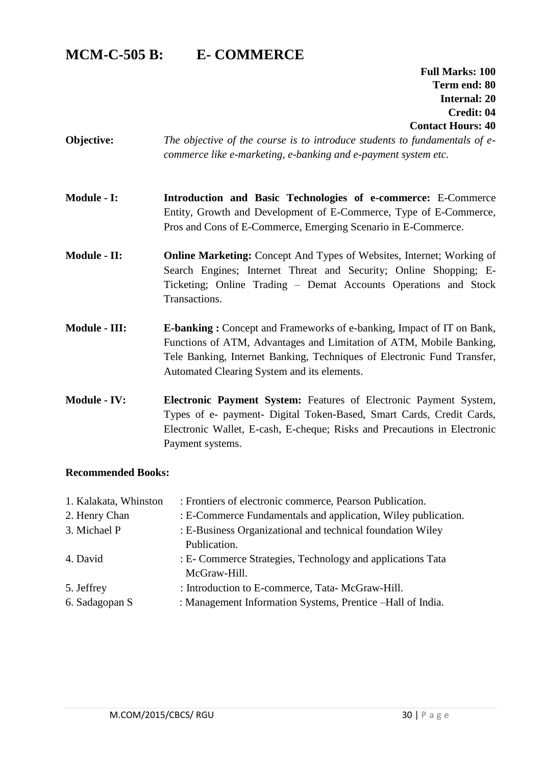# **MCM-C-505 B: E- COMMERCE**

**Full Marks: 100 Term end: 80 Internal: 20 Credit: 04 Contact Hours: 40**

- **Objective:** *The objective of the course is to introduce students to fundamentals of ecommerce like e-marketing, e-banking and e-payment system etc.*
- **Module - I: Introduction and Basic Technologies of e-commerce:** E-Commerce Entity, Growth and Development of E-Commerce, Type of E-Commerce, Pros and Cons of E-Commerce, Emerging Scenario in E-Commerce.
- **Module - II: Online Marketing:** Concept And Types of Websites, Internet; Working of Search Engines; Internet Threat and Security; Online Shopping; E-Ticketing; Online Trading – Demat Accounts Operations and Stock Transactions.
- **Module - III: E-banking :** Concept and Frameworks of e-banking, Impact of IT on Bank, Functions of ATM, Advantages and Limitation of ATM, Mobile Banking, Tele Banking, Internet Banking, Techniques of Electronic Fund Transfer, Automated Clearing System and its elements.
- **Module - IV: Electronic Payment System:** Features of Electronic Payment System, Types of e- payment- Digital Token-Based, Smart Cards, Credit Cards, Electronic Wallet, E-cash, E-cheque; Risks and Precautions in Electronic Payment systems.

| 1. Kalakata, Whinston | : Frontiers of electronic commerce, Pearson Publication.      |
|-----------------------|---------------------------------------------------------------|
| 2. Henry Chan         | : E-Commerce Fundamentals and application, Wiley publication. |
| 3. Michael P          | : E-Business Organizational and technical foundation Wiley    |
|                       | Publication.                                                  |
| 4. David              | : E- Commerce Strategies, Technology and applications Tata    |
|                       | McGraw-Hill.                                                  |
| 5. Jeffrey            | : Introduction to E-commerce, Tata- McGraw-Hill.              |
| 6. Sadagopan S        | : Management Information Systems, Prentice - Hall of India.   |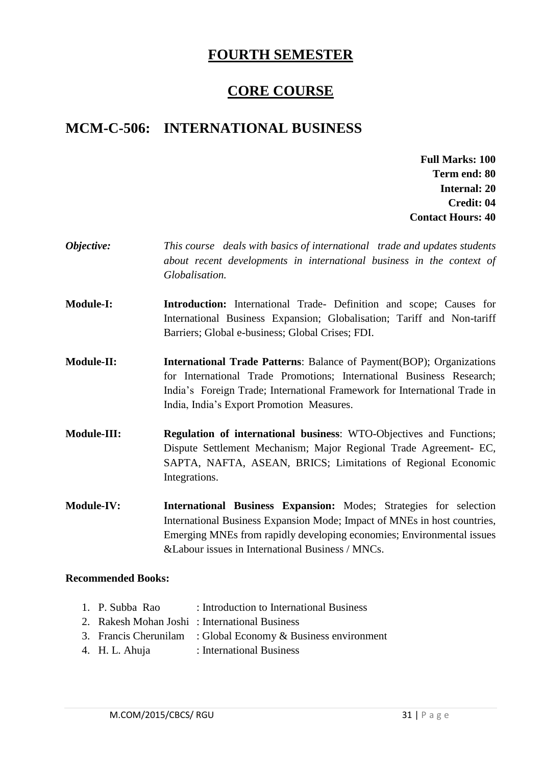# **FOURTH SEMESTER**

# **CORE COURSE**

# **MCM-C-506: INTERNATIONAL BUSINESS**

**Full Marks: 100 Term end: 80 Internal: 20 Credit: 04 Contact Hours: 40**

- *Objective: This course deals with basics of international trade and updates students about recent developments in international business in the context of Globalisation.*
- **Module-I: Introduction:** International Trade- Definition and scope; Causes for International Business Expansion; Globalisation; Tariff and Non-tariff Barriers; Global e-business; Global Crises; FDI.
- **Module-II: International Trade Patterns**: Balance of Payment(BOP); Organizations for International Trade Promotions; International Business Research; India's Foreign Trade; International Framework for International Trade in India, India's Export Promotion Measures.
- **Module-III: Regulation of international business**: WTO-Objectives and Functions; Dispute Settlement Mechanism; Major Regional Trade Agreement- EC, SAPTA, NAFTA, ASEAN, BRICS; Limitations of Regional Economic Integrations.
- **Module-IV: International Business Expansion:** Modes; Strategies for selection International Business Expansion Mode; Impact of MNEs in host countries, Emerging MNEs from rapidly developing economies; Environmental issues &Labour issues in International Business / MNCs.

#### **Recommended Books:**

1. P. Subba Rao : Introduction to International Business 2. Rakesh Mohan Joshi : International Business 3. Francis Cherunilam : Global Economy & Business environment 4. H. L. Ahuja : International Business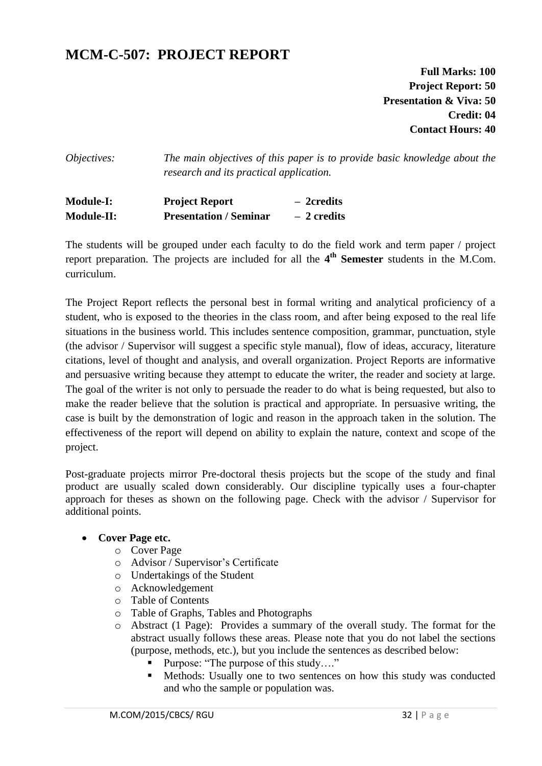# **MCM-C-507: PROJECT REPORT**

**Full Marks: 100 Project Report: 50 Presentation & Viva: 50 Credit: 04 Contact Hours: 40**

*Objectives: The main objectives of this paper is to provide basic knowledge about the research and its practical application.*

**Module-I: Project Report – 2credits Module-II: Presentation / Seminar – 2 credits**

The students will be grouped under each faculty to do the field work and term paper / project report preparation. The projects are included for all the 4<sup>th</sup> Semester students in the M.Com. curriculum.

The Project Report reflects the personal best in formal writing and analytical proficiency of a student, who is exposed to the theories in the class room, and after being exposed to the real life situations in the business world. This includes sentence composition, grammar, punctuation, style (the advisor / Supervisor will suggest a specific style manual), flow of ideas, accuracy, literature citations, level of thought and analysis, and overall organization. Project Reports are informative and persuasive writing because they attempt to educate the writer, the reader and society at large. The goal of the writer is not only to persuade the reader to do what is being requested, but also to make the reader believe that the solution is practical and appropriate. In persuasive writing, the case is built by the demonstration of logic and reason in the approach taken in the solution. The effectiveness of the report will depend on ability to explain the nature, context and scope of the project.

Post-graduate projects mirror Pre-doctoral thesis projects but the scope of the study and final product are usually scaled down considerably. Our discipline typically uses a four-chapter approach for theses as shown on the following page. Check with the advisor / Supervisor for additional points.

#### **Cover Page etc.**

- o Cover Page
- o Advisor / Supervisor's Certificate
- o Undertakings of the Student
- o Acknowledgement
- o Table of Contents
- o Table of Graphs, Tables and Photographs
- o Abstract (1 Page): Provides a summary of the overall study. The format for the abstract usually follows these areas. Please note that you do not label the sections (purpose, methods, etc.), but you include the sentences as described below:
	- Purpose: "The purpose of this study…."
	- Methods: Usually one to two sentences on how this study was conducted and who the sample or population was.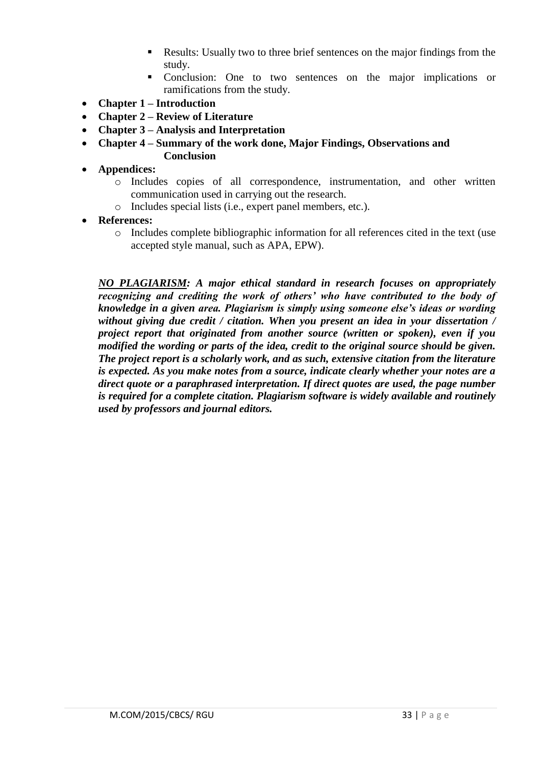- Results: Usually two to three brief sentences on the major findings from the study.
- Conclusion: One to two sentences on the major implications or ramifications from the study.
- **Chapter 1 – Introduction**
- **Chapter 2 – Review of Literature**
- **Chapter 3 – Analysis and Interpretation**
- **Chapter 4 – Summary of the work done, Major Findings, Observations and Conclusion**
- **Appendices:** 
	- o Includes copies of all correspondence, instrumentation, and other written communication used in carrying out the research.
	- o Includes special lists (i.e., expert panel members, etc.).
- **References:**
	- o Includes complete bibliographic information for all references cited in the text (use accepted style manual, such as APA, EPW).

*NO PLAGIARISM: A major ethical standard in research focuses on appropriately recognizing and crediting the work of others' who have contributed to the body of knowledge in a given area. Plagiarism is simply using someone else's ideas or wording without giving due credit / citation. When you present an idea in your dissertation / project report that originated from another source (written or spoken), even if you modified the wording or parts of the idea, credit to the original source should be given. The project report is a scholarly work, and as such, extensive citation from the literature is expected. As you make notes from a source, indicate clearly whether your notes are a direct quote or a paraphrased interpretation. If direct quotes are used, the page number is required for a complete citation. Plagiarism software is widely available and routinely used by professors and journal editors.*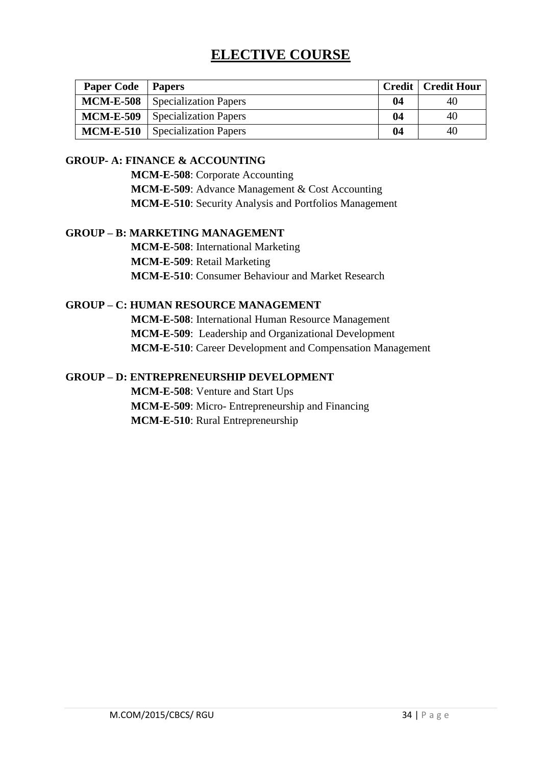# **ELECTIVE COURSE**

| <b>Paper Code</b>   Papers |                                        |    | <b>Credit   Credit Hour</b> |
|----------------------------|----------------------------------------|----|-----------------------------|
|                            | <b>MCM-E-508</b> Specialization Papers | 04 | 40                          |
|                            | <b>MCM-E-509</b> Specialization Papers | 04 | 40                          |
|                            | <b>MCM-E-510</b> Specialization Papers | 04 | 40                          |

#### **GROUP- A: FINANCE & ACCOUNTING**

**MCM-E-508**: Corporate Accounting **MCM-E-509**: Advance Management & Cost Accounting

**MCM-E-510**: Security Analysis and Portfolios Management

#### **GROUP – B: MARKETING MANAGEMENT**

**MCM-E-508**: International Marketing **MCM-E-509**: Retail Marketing **MCM-E-510**: Consumer Behaviour and Market Research

#### **GROUP – C: HUMAN RESOURCE MANAGEMENT**

**MCM-E-508**: International Human Resource Management **MCM-E-509**: Leadership and Organizational Development **MCM-E-510**: Career Development and Compensation Management

#### **GROUP – D: ENTREPRENEURSHIP DEVELOPMENT**

**MCM-E-508**: Venture and Start Ups **MCM-E-509**: Micro- Entrepreneurship and Financing **MCM-E-510**: Rural Entrepreneurship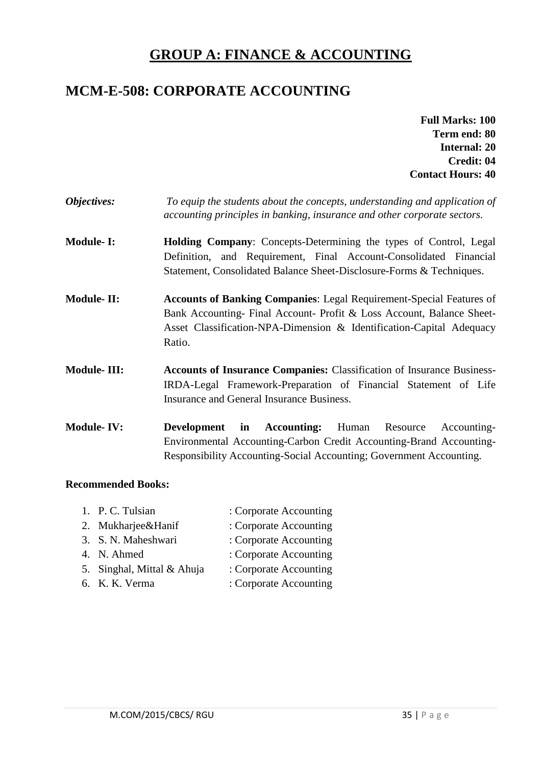# **GROUP A: FINANCE & ACCOUNTING**

# **MCM-E-508: CORPORATE ACCOUNTING**

- **Full Marks: 100 Term end: 80 Internal: 20 Credit: 04 Contact Hours: 40**
- *Objectives: To equip the students about the concepts, understanding and application of accounting principles in banking, insurance and other corporate sectors.*
- **Module-I: Holding Company**: Concepts-Determining the types of Control, Legal Definition, and Requirement, Final Account-Consolidated Financial Statement, Consolidated Balance Sheet-Disclosure-Forms & Techniques.
- **Module- II: Accounts of Banking Companies**: Legal Requirement-Special Features of Bank Accounting- Final Account- Profit & Loss Account, Balance Sheet-Asset Classification-NPA-Dimension & Identification-Capital Adequacy Ratio.
- **Module- III: Accounts of Insurance Companies:** Classification of Insurance Business-IRDA-Legal Framework-Preparation of Financial Statement of Life Insurance and General Insurance Business.
- **Module- IV: Development in Accounting:** Human Resource Accounting-Environmental Accounting-Carbon Credit Accounting-Brand Accounting-Responsibility Accounting-Social Accounting; Government Accounting.

#### **Recommended Books:**

1. P. C. Tulsian : Corporate Accounting 2. Mukharjee&Hanif : Corporate Accounting 3. S. N. Maheshwari : Corporate Accounting 4. N. Ahmed : Corporate Accounting 5. Singhal, Mittal & Ahuja : Corporate Accounting 6. K. K. Verma : Corporate Accounting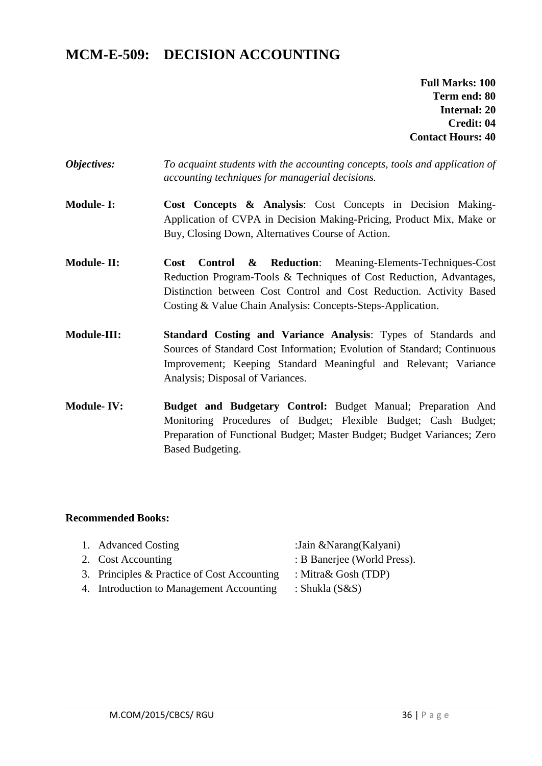# **MCM-E-509: DECISION ACCOUNTING**

**Full Marks: 100 Term end: 80 Internal: 20 Credit: 04 Contact Hours: 40**

- *Objectives: To acquaint students with the accounting concepts, tools and application of accounting techniques for managerial decisions.*
- **Module- I: Cost Concepts & Analysis**: Cost Concepts in Decision Making-Application of CVPA in Decision Making-Pricing, Product Mix, Make or Buy, Closing Down, Alternatives Course of Action.
- **Module- II: Cost Control & Reduction**: Meaning-Elements-Techniques-Cost Reduction Program-Tools & Techniques of Cost Reduction, Advantages, Distinction between Cost Control and Cost Reduction. Activity Based Costing & Value Chain Analysis: Concepts-Steps-Application.
- **Module-III: Standard Costing and Variance Analysis**: Types of Standards and Sources of Standard Cost Information; Evolution of Standard; Continuous Improvement; Keeping Standard Meaningful and Relevant; Variance Analysis; Disposal of Variances.
- **Module- IV: Budget and Budgetary Control:** Budget Manual; Preparation And Monitoring Procedures of Budget; Flexible Budget; Cash Budget; Preparation of Functional Budget; Master Budget; Budget Variances; Zero Based Budgeting.

- 
- -
- 3. Principles & Practice of Cost Accounting : Mitra& Gosh (TDP)
- 4. Introduction to Management Accounting : Shukla (S&S)
- 1. Advanced Costing :Jain &Narang(Kalyani)
- 2. Cost Accounting : B Banerjee (World Press).
	-
	-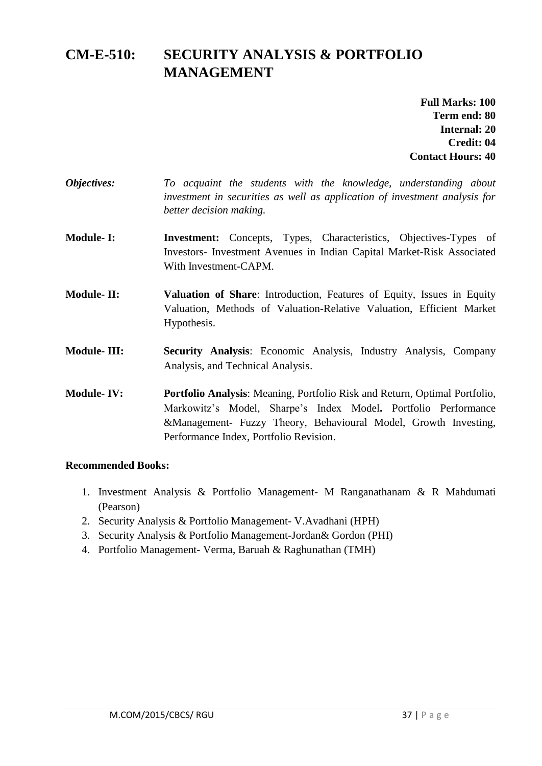# **CM-E-510: SECURITY ANALYSIS & PORTFOLIO MANAGEMENT**

**Full Marks: 100 Term end: 80 Internal: 20 Credit: 04 Contact Hours: 40**

- *Objectives: To acquaint the students with the knowledge, understanding about investment in securities as well as application of investment analysis for better decision making.*
- **Module-I:** Investment: Concepts, Types, Characteristics, Objectives-Types of Investors- Investment Avenues in Indian Capital Market-Risk Associated With Investment-CAPM.
- **Module- II: Valuation of Share**: Introduction, Features of Equity, Issues in Equity Valuation, Methods of Valuation-Relative Valuation, Efficient Market Hypothesis.
- **Module- III: Security Analysis**: Economic Analysis, Industry Analysis, Company Analysis, and Technical Analysis.
- **Module- IV: Portfolio Analysis**: Meaning, Portfolio Risk and Return, Optimal Portfolio, Markowitz's Model, Sharpe's Index Model**.** Portfolio Performance &Management- Fuzzy Theory, Behavioural Model, Growth Investing, Performance Index, Portfolio Revision.

- 1. Investment Analysis & Portfolio Management- M Ranganathanam & R Mahdumati (Pearson)
- 2. Security Analysis & Portfolio Management- V.Avadhani (HPH)
- 3. Security Analysis & Portfolio Management-Jordan& Gordon (PHI)
- 4. Portfolio Management- Verma, Baruah & Raghunathan (TMH)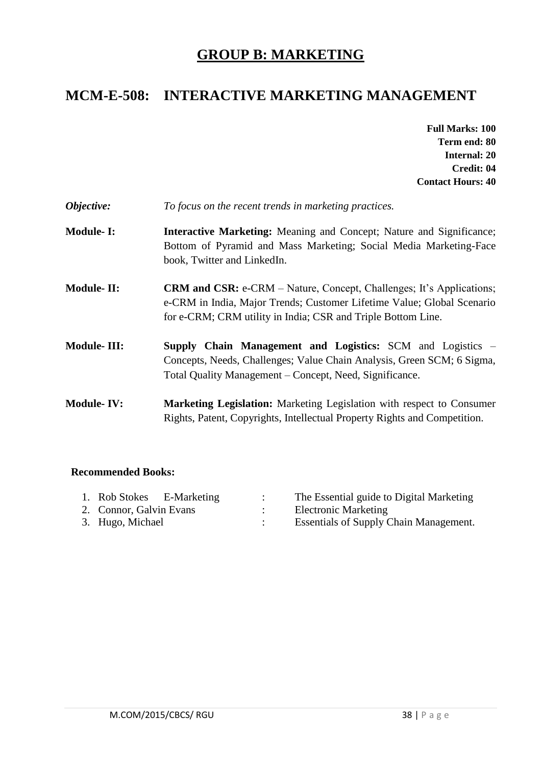# **GROUP B: MARKETING**

# **MCM-E-508: INTERACTIVE MARKETING MANAGEMENT**

- **Full Marks: 100 Term end: 80 Internal: 20 Credit: 04 Contact Hours: 40**
- *Objective: To focus on the recent trends in marketing practices.*
- **Module- I: Interactive Marketing:** Meaning and Concept; Nature and Significance; Bottom of Pyramid and Mass Marketing; Social Media Marketing-Face book, Twitter and LinkedIn.
- **Module- II:** CRM and CSR: e-CRM Nature, Concept, Challenges; It's Applications; e-CRM in India, Major Trends; Customer Lifetime Value; Global Scenario for e-CRM; CRM utility in India; CSR and Triple Bottom Line.
- **Module- III: Supply Chain Management and Logistics:** SCM and Logistics Concepts, Needs, Challenges; Value Chain Analysis, Green SCM; 6 Sigma, Total Quality Management – Concept, Need, Significance.
- **Module- IV: Marketing Legislation:** Marketing Legislation with respect to Consumer Rights, Patent, Copyrights, Intellectual Property Rights and Competition.

| 1. Rob Stokes E-Marketing |  | The Essential guide to Digital Marketing      |
|---------------------------|--|-----------------------------------------------|
| 2. Connor, Galvin Evans   |  | <b>Electronic Marketing</b>                   |
| 3. Hugo, Michael          |  | <b>Essentials of Supply Chain Management.</b> |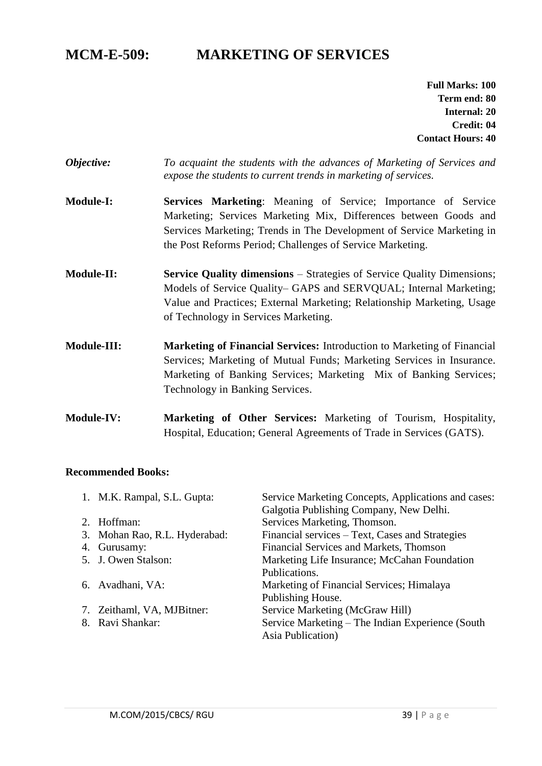# **MCM-E-509: MARKETING OF SERVICES**

**Full Marks: 100 Term end: 80 Internal: 20 Credit: 04 Contact Hours: 40**

- *Objective: To acquaint the students with the advances of Marketing of Services and expose the students to current trends in marketing of services.*
- **Module-I: Services Marketing**: Meaning of Service; Importance of Service Marketing; Services Marketing Mix, Differences between Goods and Services Marketing; Trends in The Development of Service Marketing in the Post Reforms Period; Challenges of Service Marketing.
- **Module-II: Service Quality dimensions** Strategies of Service Quality Dimensions; Models of Service Quality– GAPS and SERVQUAL; Internal Marketing; Value and Practices; External Marketing; Relationship Marketing, Usage of Technology in Services Marketing.
- **Module-III: Marketing of Financial Services:** Introduction to Marketing of Financial Services; Marketing of Mutual Funds; Marketing Services in Insurance. Marketing of Banking Services; Marketing Mix of Banking Services; Technology in Banking Services.
- **Module-IV: Marketing of Other Services:** Marketing of Tourism, Hospitality, Hospital, Education; General Agreements of Trade in Services (GATS).

|             | 1. M.K. Rampal, S.L. Gupta:   | Service Marketing Concepts, Applications and cases: |  |
|-------------|-------------------------------|-----------------------------------------------------|--|
|             |                               | Galgotia Publishing Company, New Delhi.             |  |
| $2^{\circ}$ | Hoffman:                      | Services Marketing, Thomson.                        |  |
|             | 3. Mohan Rao, R.L. Hyderabad: | Financial services – Text, Cases and Strategies     |  |
|             | 4. Gurusamy:                  | Financial Services and Markets, Thomson             |  |
|             | 5. J. Owen Stalson:           | Marketing Life Insurance; McCahan Foundation        |  |
|             |                               | Publications.                                       |  |
|             | 6. Avadhani, VA:              | Marketing of Financial Services; Himalaya           |  |
|             |                               | Publishing House.                                   |  |
|             | 7. Zeithaml, VA, MJBitner:    | Service Marketing (McGraw Hill)                     |  |
|             | 8. Ravi Shankar:              | Service Marketing – The Indian Experience (South)   |  |
|             |                               | Asia Publication)                                   |  |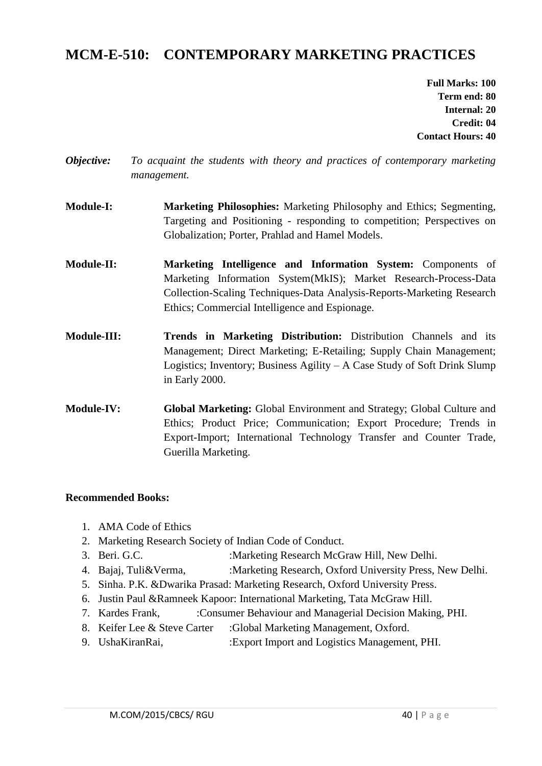# **MCM-E-510: CONTEMPORARY MARKETING PRACTICES**

**Full Marks: 100 Term end: 80 Internal: 20 Credit: 04 Contact Hours: 40**

- *Objective: To acquaint the students with theory and practices of contemporary marketing management.*
- **Module-I: Marketing Philosophies:** Marketing Philosophy and Ethics; Segmenting, Targeting and Positioning - responding to competition; Perspectives on Globalization; Porter, Prahlad and Hamel Models.
- **Module-II: Marketing Intelligence and Information System:** Components of Marketing Information System(MkIS); Market Research-Process-Data Collection-Scaling Techniques-Data Analysis-Reports-Marketing Research Ethics; Commercial Intelligence and Espionage.
- **Module-III: Trends in Marketing Distribution:** Distribution Channels and its Management; Direct Marketing; E-Retailing; Supply Chain Management; Logistics; Inventory; Business Agility – A Case Study of Soft Drink Slump in Early 2000.
- **Module-IV: Global Marketing:** Global Environment and Strategy; Global Culture and Ethics; Product Price; Communication; Export Procedure; Trends in Export-Import; International Technology Transfer and Counter Trade, Guerilla Marketing.

- 1. AMA Code of Ethics
- 2. Marketing Research Society of Indian Code of Conduct.
- 3. Beri. G.C. :Marketing Research McGraw Hill, New Delhi.
- 4. Bajaj, Tuli&Verma, :Marketing Research, Oxford University Press, New Delhi.
- 5. Sinha. P.K. &Dwarika Prasad: Marketing Research, Oxford University Press.
- 6. Justin Paul &Ramneek Kapoor: International Marketing, Tata McGraw Hill.
- 7. Kardes Frank, :Consumer Behaviour and Managerial Decision Making, PHI.
- 8. Keifer Lee & Steve Carter :Global Marketing Management, Oxford.
- 9. UshaKiranRai, :Export Import and Logistics Management, PHI.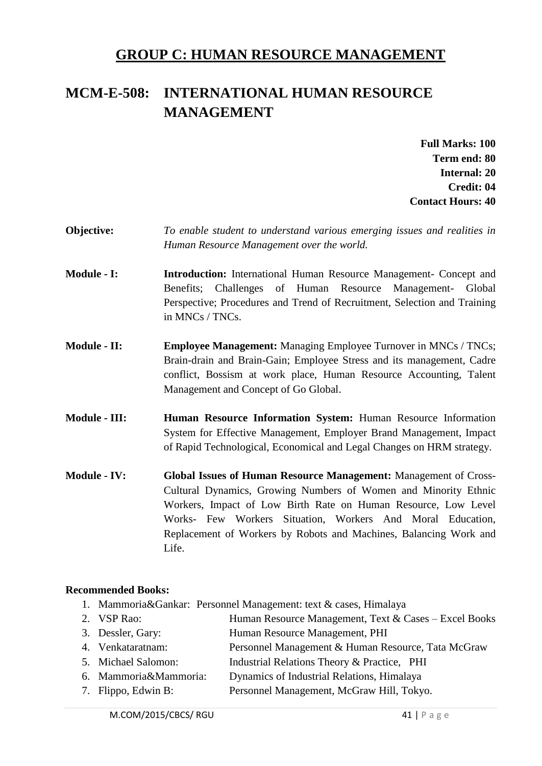# **GROUP C: HUMAN RESOURCE MANAGEMENT**

# **MCM-E-508: INTERNATIONAL HUMAN RESOURCE MANAGEMENT**

**Full Marks: 100 Term end: 80 Internal: 20 Credit: 04 Contact Hours: 40**

- **Objective:** *To enable student to understand various emerging issues and realities in Human Resource Management over the world.*
- **Module - I: Introduction:** International Human Resource Management- Concept and Benefits; Challenges of Human Resource Management- Global Perspective; Procedures and Trend of Recruitment, Selection and Training in MNCs / TNCs.
- **Module II: Employee Management:** Managing Employee Turnover in MNCs / TNCs; Brain-drain and Brain-Gain; Employee Stress and its management, Cadre conflict, Bossism at work place, Human Resource Accounting, Talent Management and Concept of Go Global.
- **Module - III: Human Resource Information System:** Human Resource Information System for Effective Management, Employer Brand Management, Impact of Rapid Technological, Economical and Legal Changes on HRM strategy.
- **Module - IV: Global Issues of Human Resource Management:** Management of Cross-Cultural Dynamics, Growing Numbers of Women and Minority Ethnic Workers, Impact of Low Birth Rate on Human Resource, Low Level Works- Few Workers Situation, Workers And Moral Education, Replacement of Workers by Robots and Machines, Balancing Work and Life.

- 1. Mammoria&Gankar: Personnel Management: text & cases, Himalaya
- 2. VSP Rao: Human Resource Management, Text & Cases Excel Books
- 3. Dessler, Gary: Human Resource Management, PHI
- 4. Venkataratnam: Personnel Management & Human Resource, Tata McGraw
- 5. Michael Salomon: Industrial Relations Theory & Practice, PHI
- 6. Mammoria&Mammoria: Dynamics of Industrial Relations, Himalaya
- 7. Flippo, Edwin B: Personnel Management, McGraw Hill, Tokyo.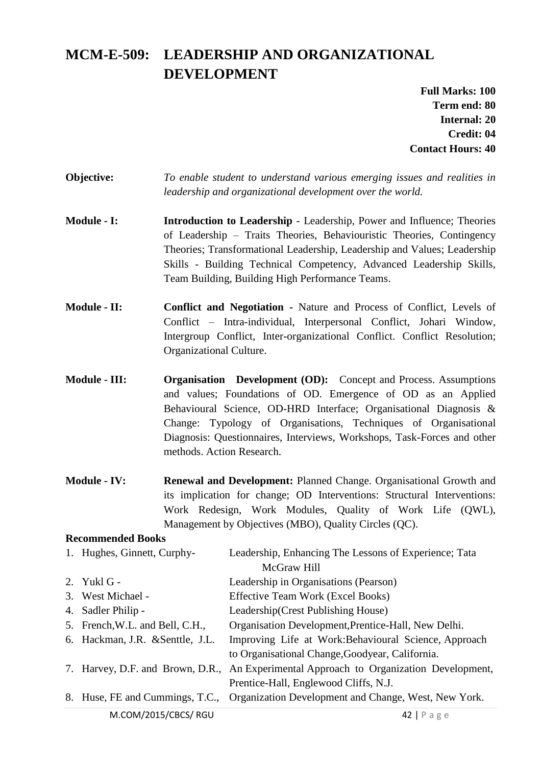# **MCM-E-509: LEADERSHIP AND ORGANIZATIONAL DEVELOPMENT**

**Full Marks: 100 Term end: 80 Internal: 20 Credit: 04 Contact Hours: 40**

- **Objective:** *To enable student to understand various emerging issues and realities in leadership and organizational development over the world.*
- **Module I:** Introduction to Leadership Leadership, Power and Influence; Theories of Leadership – Traits Theories, Behaviouristic Theories, Contingency Theories; Transformational Leadership, Leadership and Values; Leadership Skills - Building Technical Competency, Advanced Leadership Skills, Team Building, Building High Performance Teams.
- **Module - II: Conflict and Negotiation -** Nature and Process of Conflict, Levels of Conflict – Intra-individual, Interpersonal Conflict, Johari Window, Intergroup Conflict, Inter-organizational Conflict. Conflict Resolution; Organizational Culture.
- **Module - III: Organisation Development (OD):** Concept and Process. Assumptions and values; Foundations of OD. Emergence of OD as an Applied Behavioural Science, OD-HRD Interface; Organisational Diagnosis & Change: Typology of Organisations, Techniques of Organisational Diagnosis: Questionnaires, Interviews, Workshops, Task-Forces and other methods. Action Research.
- **Module - IV: Renewal and Development:** Planned Change. Organisational Growth and its implication for change; OD Interventions: Structural Interventions: Work Redesign, Work Modules, Quality of Work Life (QWL), Management by Objectives (MBO), Quality Circles (QC).

| 1. Hughes, Ginnett, Curphy-      | Leadership, Enhancing The Lessons of Experience; Tata |  |
|----------------------------------|-------------------------------------------------------|--|
|                                  | McGraw Hill                                           |  |
| 2. Yukl $G -$                    | Leadership in Organisations (Pearson)                 |  |
| 3. West Michael -                | Effective Team Work (Excel Books)                     |  |
| 4. Sadler Philip -               | Leadership (Crest Publishing House)                   |  |
| 5. French, W.L. and Bell, C.H.,  | Organisation Development, Prentice-Hall, New Delhi.   |  |
| 6. Hackman, J.R. & Senttle, J.L. | Improving Life at Work: Behavioural Science, Approach |  |
|                                  | to Organisational Change, Goodyear, California.       |  |
| 7. Harvey, D.F. and Brown, D.R., | An Experimental Approach to Organization Development, |  |
|                                  | Prentice-Hall, Englewood Cliffs, N.J.                 |  |
| 8. Huse, FE and Cummings, T.C.,  | Organization Development and Change, West, New York.  |  |
| M.COM/2015/CBCS/RGU              | $42$   Page                                           |  |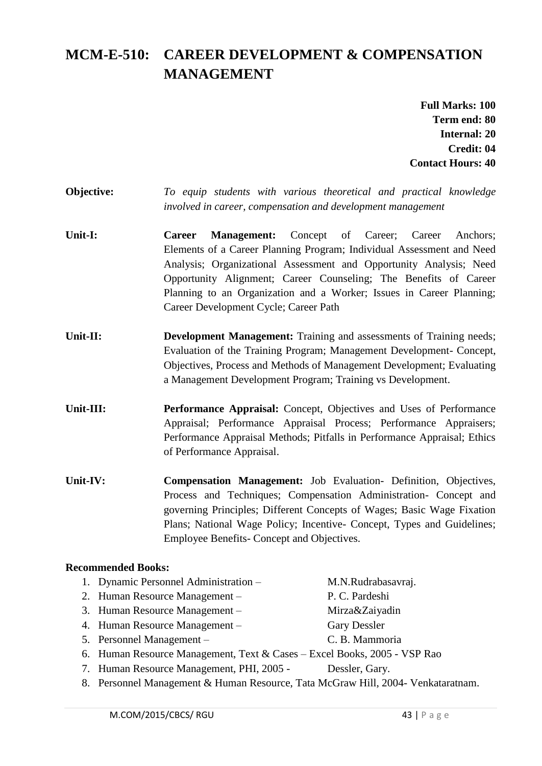# **MCM-E-510: CAREER DEVELOPMENT & COMPENSATION MANAGEMENT**

**Full Marks: 100 Term end: 80 Internal: 20 Credit: 04 Contact Hours: 40**

### **Objective:** *To equip students with various theoretical and practical knowledge involved in career, compensation and development management*

- **Unit-I: Career Management:** Concept of Career; Career Anchors; Elements of a Career Planning Program; Individual Assessment and Need Analysis; Organizational Assessment and Opportunity Analysis; Need Opportunity Alignment; Career Counseling; The Benefits of Career Planning to an Organization and a Worker; Issues in Career Planning; Career Development Cycle; Career Path
- **Unit-II: Development Management:** Training and assessments of Training needs; Evaluation of the Training Program; Management Development- Concept, Objectives, Process and Methods of Management Development; Evaluating a Management Development Program; Training vs Development.
- **Unit-III: Performance Appraisal:** Concept, Objectives and Uses of Performance Appraisal; Performance Appraisal Process; Performance Appraisers; Performance Appraisal Methods; Pitfalls in Performance Appraisal; Ethics of Performance Appraisal.
- **Unit-IV: Compensation Management:** Job Evaluation- Definition, Objectives, Process and Techniques; Compensation Administration- Concept and governing Principles; Different Concepts of Wages; Basic Wage Fixation Plans; National Wage Policy; Incentive- Concept, Types and Guidelines; Employee Benefits- Concept and Objectives.

- 1. Dynamic Personnel Administration M.N.Rudrabasavraj.
- 2. Human Resource Management P. C. Pardeshi
- 3. Human Resource Management Mirza&Zaiyadin
- 4. Human Resource Management Gary Dessler
- 5. Personnel Management C. B. Mammoria

- 
- 6. Human Resource Management, Text & Cases Excel Books, 2005 VSP Rao
- 7. Human Resource Management, PHI, 2005 Dessler, Gary.
- 8. Personnel Management & Human Resource, Tata McGraw Hill, 2004- Venkataratnam.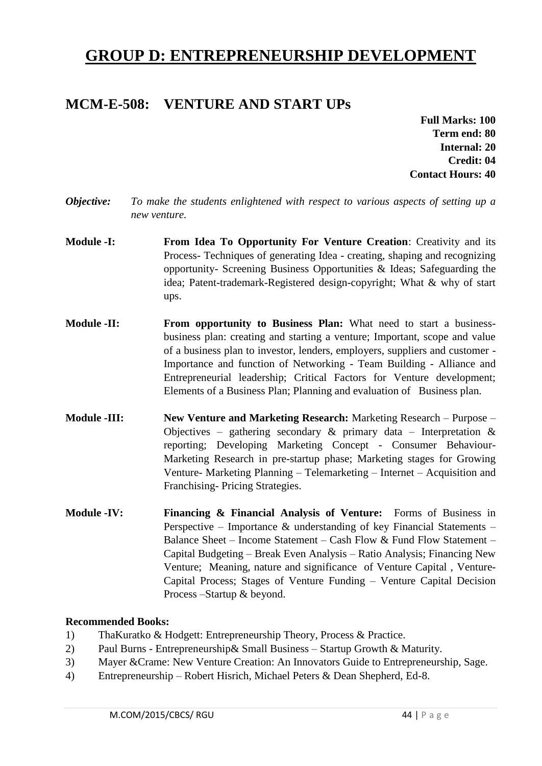# **GROUP D: ENTREPRENEURSHIP DEVELOPMENT**

### **MCM-E-508: VENTURE AND START UPs**

**Full Marks: 100 Term end: 80 Internal: 20 Credit: 04 Contact Hours: 40**

- *Objective: To make the students enlightened with respect to various aspects of setting up a new venture.*
- **Module -I: From Idea To Opportunity For Venture Creation**: Creativity and its Process- Techniques of generating Idea - creating, shaping and recognizing opportunity- Screening Business Opportunities & Ideas; Safeguarding the idea; Patent-trademark-Registered design-copyright; What & why of start ups.
- **Module -II: From opportunity to Business Plan:** What need to start a businessbusiness plan: creating and starting a venture; Important, scope and value of a business plan to investor, lenders, employers, suppliers and customer - Importance and function of Networking - Team Building - Alliance and Entrepreneurial leadership; Critical Factors for Venture development; Elements of a Business Plan; Planning and evaluation of Business plan.
- **Module -III: New Venture and Marketing Research:** Marketing Research Purpose Objectives – gathering secondary  $\&$  primary data – Interpretation  $\&$ reporting; Developing Marketing Concept - Consumer Behaviour-Marketing Research in pre-startup phase; Marketing stages for Growing Venture- Marketing Planning – Telemarketing – Internet – Acquisition and Franchising- Pricing Strategies.
- **Module -IV: Financing & Financial Analysis of Venture:** Forms of Business in Perspective – Importance & understanding of key Financial Statements – Balance Sheet – Income Statement – Cash Flow & Fund Flow Statement – Capital Budgeting – Break Even Analysis – Ratio Analysis; Financing New Venture; Meaning, nature and significance of Venture Capital , Venture-Capital Process; Stages of Venture Funding – Venture Capital Decision Process –Startup & beyond.

- 1) ThaKuratko & Hodgett: Entrepreneurship Theory, Process & Practice.
- 2) Paul Burns Entrepreneurship& Small Business Startup Growth & Maturity.
- 3) Mayer &Crame: New Venture Creation: An Innovators Guide to Entrepreneurship, Sage.
- 4) Entrepreneurship Robert Hisrich, Michael Peters & Dean Shepherd, Ed-8.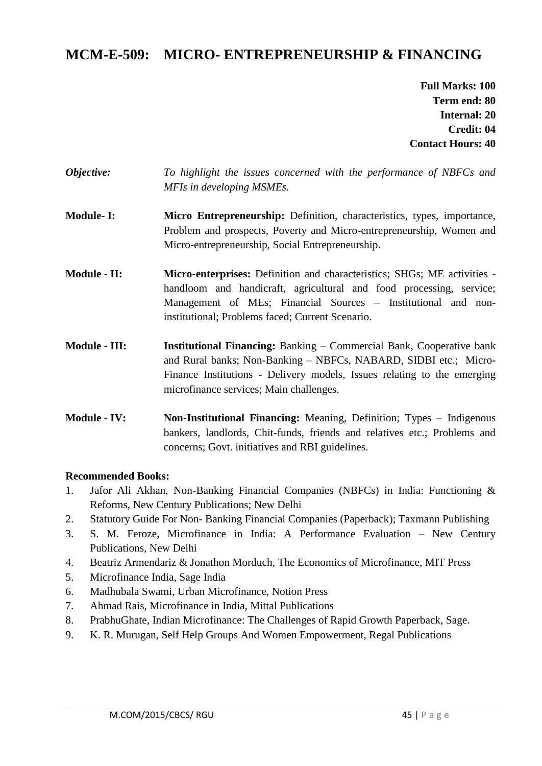# **MCM-E-509: MICRO- ENTREPRENEURSHIP & FINANCING**

**Full Marks: 100 Term end: 80 Internal: 20 Credit: 04 Contact Hours: 40**

- *Objective: To highlight the issues concerned with the performance of NBFCs and MFIs in developing MSMEs.*
- **Module- I: Micro Entrepreneurship:** Definition, characteristics, types, importance, Problem and prospects, Poverty and Micro-entrepreneurship, Women and Micro-entrepreneurship, Social Entrepreneurship.
- **Module II:** Micro-enterprises: Definition and characteristics; SHGs; ME activities handloom and handicraft, agricultural and food processing, service; Management of MEs; Financial Sources – Institutional and noninstitutional; Problems faced; Current Scenario.
- **Module - III: Institutional Financing:** Banking Commercial Bank, Cooperative bank and Rural banks; Non-Banking – NBFCs, NABARD, SIDBI etc.; Micro-Finance Institutions - Delivery models, Issues relating to the emerging microfinance services; Main challenges.
- **Module - IV:** Non-Institutional Financing: Meaning, Definition; Types Indigenous bankers, landlords, Chit-funds, friends and relatives etc.; Problems and concerns; Govt. initiatives and RBI guidelines.

- 1. Jafor Ali Akhan, Non-Banking Financial Companies (NBFCs) in India: Functioning & Reforms, New Century Publications; New Delhi
- 2. Statutory Guide For Non- Banking Financial Companies (Paperback); Taxmann Publishing
- 3. S. M. Feroze, Microfinance in India: A Performance Evaluation New Century Publications, New Delhi
- 4. Beatriz Armendariz & Jonathon Morduch, The Economics of Microfinance, MIT Press
- 5. Microfinance India, Sage India
- 6. Madhubala Swami, Urban Microfinance, Notion Press
- 7. Ahmad Rais, Microfinance in India, Mittal Publications
- 8. PrabhuGhate, Indian Microfinance: The Challenges of Rapid Growth Paperback, Sage.
- 9. K. R. Murugan, Self Help Groups And Women Empowerment, Regal Publications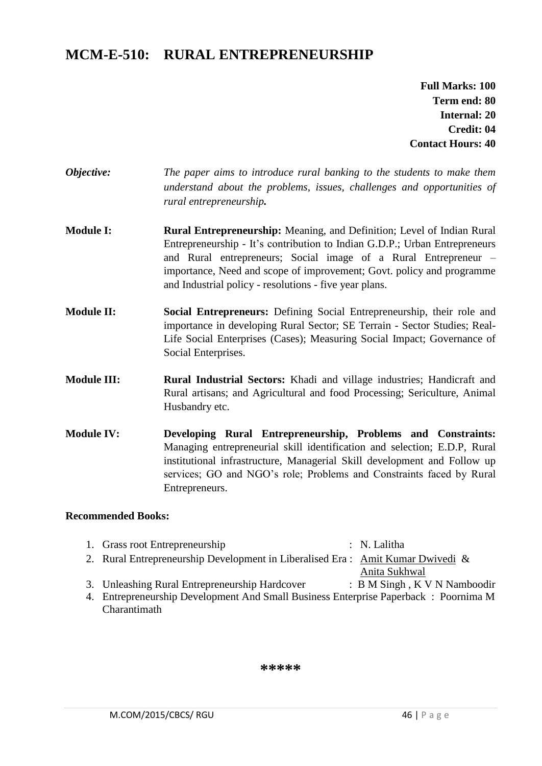# **MCM-E-510: RURAL ENTREPRENEURSHIP**

**Full Marks: 100 Term end: 80 Internal: 20 Credit: 04 Contact Hours: 40**

- *Objective: The paper aims to introduce rural banking to the students to make them understand about the problems, issues, challenges and opportunities of rural entrepreneurship.*
- **Module I: Rural Entrepreneurship:** Meaning, and Definition; Level of Indian Rural Entrepreneurship - It's contribution to Indian G.D.P.; Urban Entrepreneurs and Rural entrepreneurs; Social image of a Rural Entrepreneur – importance, Need and scope of improvement; Govt. policy and programme and Industrial policy - resolutions - five year plans.
- **Module II: Social Entrepreneurs:** Defining Social Entrepreneurship, their role and importance in developing Rural Sector; SE Terrain - Sector Studies; Real-Life Social Enterprises (Cases); Measuring Social Impact; Governance of Social Enterprises.
- **Module III: Rural Industrial Sectors:** Khadi and village industries; Handicraft and Rural artisans; and Agricultural and food Processing; Sericulture, Animal Husbandry etc.
- **Module IV: Developing Rural Entrepreneurship, Problems and Constraints:** Managing entrepreneurial skill identification and selection; E.D.P, Rural institutional infrastructure, Managerial Skill development and Follow up services; GO and NGO's role; Problems and Constraints faced by Rural Entrepreneurs.

#### **Recommended Books:**

- 1. Grass root Entrepreneurship : N. Lalitha 2. Rural Entrepreneurship Development in Liberalised Era : [Amit Kumar Dwivedi](http://www.amazon.in/Amit-Kumar-Dwivedi/e/B00JHPJO2Y/ref=dp_byline_cont_book_1) & [Anita Sukhwal](http://www.amazon.in/Anita-Sukhwal/e/B00J8GN55O/ref=dp_byline_cont_book_2)
- 3. Unleashing Rural Entrepreneurship Hardcover : [B M Singh](http://www.amazon.in/s/ref=dp_byline_sr_book_1?ie=UTF8&field-author=B+M+Singh&search-alias=stripbooks), [K V N Namboodir](http://www.amazon.in/s/ref=dp_byline_sr_book_2?ie=UTF8&field-author=K+V+N+Namboodiri&search-alias=stripbooks)
- 4. Entrepreneurship Development And Small Business Enterprise Paperback : [Poornima M](http://www.amazon.in/s/ref=dp_byline_sr_book_1?ie=UTF8&field-author=Poornima+M+Charantimath&search-alias=stripbooks)  [Charantimath](http://www.amazon.in/s/ref=dp_byline_sr_book_1?ie=UTF8&field-author=Poornima+M+Charantimath&search-alias=stripbooks)

**\*\*\*\*\***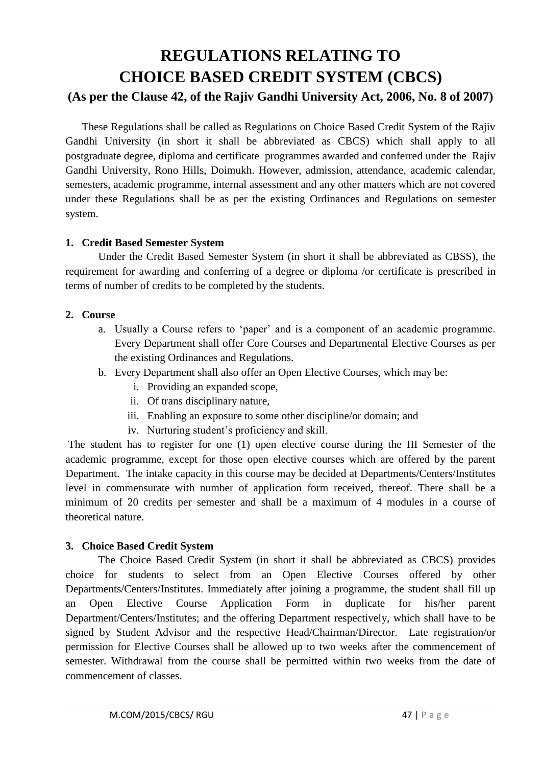# **REGULATIONS RELATING TO CHOICE BASED CREDIT SYSTEM (CBCS) (As per the Clause 42, of the Rajiv Gandhi University Act, 2006, No. 8 of 2007)**

These Regulations shall be called as Regulations on Choice Based Credit System of the Rajiv Gandhi University (in short it shall be abbreviated as CBCS) which shall apply to all postgraduate degree, diploma and certificate programmes awarded and conferred under the Rajiv Gandhi University, Rono Hills, Doimukh. However, admission, attendance, academic calendar, semesters, academic programme, internal assessment and any other matters which are not covered under these Regulations shall be as per the existing Ordinances and Regulations on semester system.

#### **1. Credit Based Semester System**

Under the Credit Based Semester System (in short it shall be abbreviated as CBSS), the requirement for awarding and conferring of a degree or diploma /or certificate is prescribed in terms of number of credits to be completed by the students.

#### **2. Course**

- a. Usually a Course refers to 'paper' and is a component of an academic programme. Every Department shall offer Core Courses and Departmental Elective Courses as per the existing Ordinances and Regulations.
- b. Every Department shall also offer an Open Elective Courses, which may be:
	- i. Providing an expanded scope,
	- ii. Of trans disciplinary nature,
	- iii. Enabling an exposure to some other discipline/or domain; and
	- iv. Nurturing student's proficiency and skill.

The student has to register for one (1) open elective course during the III Semester of the academic programme, except for those open elective courses which are offered by the parent Department. The intake capacity in this course may be decided at Departments/Centers/Institutes level in commensurate with number of application form received, thereof. There shall be a minimum of 20 credits per semester and shall be a maximum of 4 modules in a course of theoretical nature.

#### **3. Choice Based Credit System**

The Choice Based Credit System (in short it shall be abbreviated as CBCS) provides choice for students to select from an Open Elective Courses offered by other Departments/Centers/Institutes. Immediately after joining a programme, the student shall fill up an Open Elective Course Application Form in duplicate for his/her parent Department/Centers/Institutes; and the offering Department respectively, which shall have to be signed by Student Advisor and the respective Head/Chairman/Director. Late registration/or permission for Elective Courses shall be allowed up to two weeks after the commencement of semester. Withdrawal from the course shall be permitted within two weeks from the date of commencement of classes.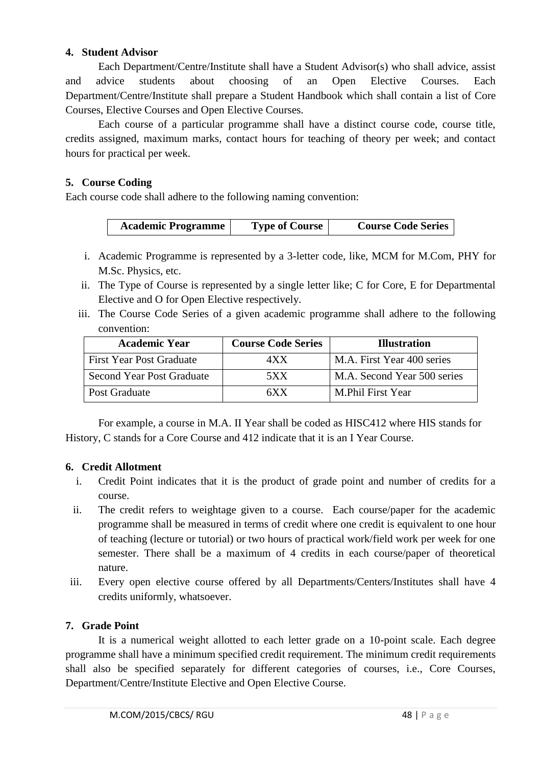#### **4. Student Advisor**

Each Department/Centre/Institute shall have a Student Advisor(s) who shall advice, assist and advice students about choosing of an Open Elective Courses. Each Department/Centre/Institute shall prepare a Student Handbook which shall contain a list of Core Courses, Elective Courses and Open Elective Courses.

Each course of a particular programme shall have a distinct course code, course title, credits assigned, maximum marks, contact hours for teaching of theory per week; and contact hours for practical per week.

#### **5. Course Coding**

Each course code shall adhere to the following naming convention:

| <b>Academic Programme</b> | <b>Type of Course</b> | <b>Course Code Series</b> |
|---------------------------|-----------------------|---------------------------|
|---------------------------|-----------------------|---------------------------|

- i. Academic Programme is represented by a 3-letter code, like, MCM for M.Com, PHY for M.Sc. Physics, etc.
- ii. The Type of Course is represented by a single letter like; C for Core, E for Departmental Elective and O for Open Elective respectively.
- iii. The Course Code Series of a given academic programme shall adhere to the following convention:

| <b>Academic Year</b>       | <b>Course Code Series</b> | <b>Illustration</b>         |
|----------------------------|---------------------------|-----------------------------|
| l First Year Post Graduate | 4XX                       | M.A. First Year 400 series  |
| Second Year Post Graduate  | 5XX                       | M.A. Second Year 500 series |
| <b>Post Graduate</b>       | 6X X                      | M.Phil First Year           |

For example, a course in M.A. II Year shall be coded as HISC412 where HIS stands for History, C stands for a Core Course and 412 indicate that it is an I Year Course.

#### **6. Credit Allotment**

- i. Credit Point indicates that it is the product of grade point and number of credits for a course.
- ii. The credit refers to weightage given to a course. Each course/paper for the academic programme shall be measured in terms of credit where one credit is equivalent to one hour of teaching (lecture or tutorial) or two hours of practical work/field work per week for one semester. There shall be a maximum of 4 credits in each course/paper of theoretical nature.
- iii. Every open elective course offered by all Departments/Centers/Institutes shall have 4 credits uniformly, whatsoever.

#### **7. Grade Point**

It is a numerical weight allotted to each letter grade on a 10-point scale. Each degree programme shall have a minimum specified credit requirement. The minimum credit requirements shall also be specified separately for different categories of courses, i.e., Core Courses, Department/Centre/Institute Elective and Open Elective Course.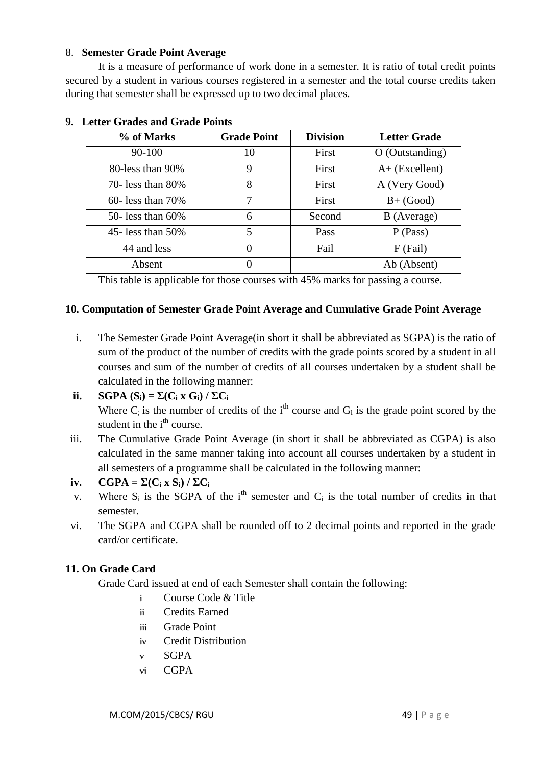#### 8. **Semester Grade Point Average**

It is a measure of performance of work done in a semester. It is ratio of total credit points secured by a student in various courses registered in a semester and the total course credits taken during that semester shall be expressed up to two decimal places.

| % of Marks              | <b>Grade Point</b> | <b>Division</b> | <b>Letter Grade</b> |
|-------------------------|--------------------|-----------------|---------------------|
| $90 - 100$              | 10                 | First           | $O$ (Outstanding)   |
| 80-less than 90%        | 9                  | First           | $A+$ (Excellent)    |
| 70- less than 80%       | 8                  | First           | A (Very Good)       |
| $60$ - less than $70\%$ | 7                  | First           | $B+ (Good)$         |
| 50- less than $60\%$    | 6                  | Second          | B (Average)         |
| 45- less than $50\%$    | 5                  | Pass            | $P$ (Pass)          |
| 44 and less             | $\Omega$           | Fail            | $F$ (Fail)          |
| Absent                  |                    |                 | Ab (Absent)         |

#### **9. Letter Grades and Grade Points**

This table is applicable for those courses with 45% marks for passing a course.

#### **10. Computation of Semester Grade Point Average and Cumulative Grade Point Average**

- i. The Semester Grade Point Average(in short it shall be abbreviated as SGPA) is the ratio of sum of the product of the number of credits with the grade points scored by a student in all courses and sum of the number of credits of all courses undertaken by a student shall be calculated in the following manner:
- **ii. SGPA**  $(S_i) = \sum (C_i \times G_i) / \sum C_i$ Where  $C_i$  is the number of credits of the i<sup>th</sup> course and  $G_i$  is the grade point scored by the student in the  $i<sup>th</sup>$  course.
- iii. The Cumulative Grade Point Average (in short it shall be abbreviated as CGPA) is also calculated in the same manner taking into account all courses undertaken by a student in all semesters of a programme shall be calculated in the following manner:

#### **iv.**  $\text{CGPA} = \Sigma(\text{C}_i \times \text{S}_i) / \Sigma \text{C}_i$

- v. Where  $S_i$  is the SGPA of the i<sup>th</sup> semester and  $C_i$  is the total number of credits in that semester.
- vi. The SGPA and CGPA shall be rounded off to 2 decimal points and reported in the grade card/or certificate.

#### **11. On Grade Card**

Grade Card issued at end of each Semester shall contain the following:

- i Course Code & Title
- ii Credits Earned
- iii Grade Point
- iv Credit Distribution
- v SGPA
- vi CGPA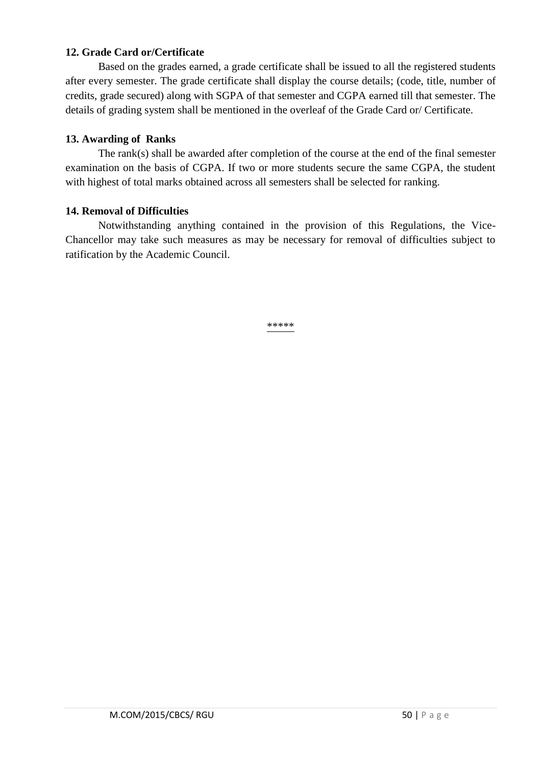#### **12. Grade Card or/Certificate**

Based on the grades earned, a grade certificate shall be issued to all the registered students after every semester. The grade certificate shall display the course details; (code, title, number of credits, grade secured) along with SGPA of that semester and CGPA earned till that semester. The details of grading system shall be mentioned in the overleaf of the Grade Card or/ Certificate.

#### **13. Awarding of Ranks**

The rank(s) shall be awarded after completion of the course at the end of the final semester examination on the basis of CGPA. If two or more students secure the same CGPA, the student with highest of total marks obtained across all semesters shall be selected for ranking.

#### **14. Removal of Difficulties**

Notwithstanding anything contained in the provision of this Regulations, the Vice-Chancellor may take such measures as may be necessary for removal of difficulties subject to ratification by the Academic Council.

\*\*\*\*\*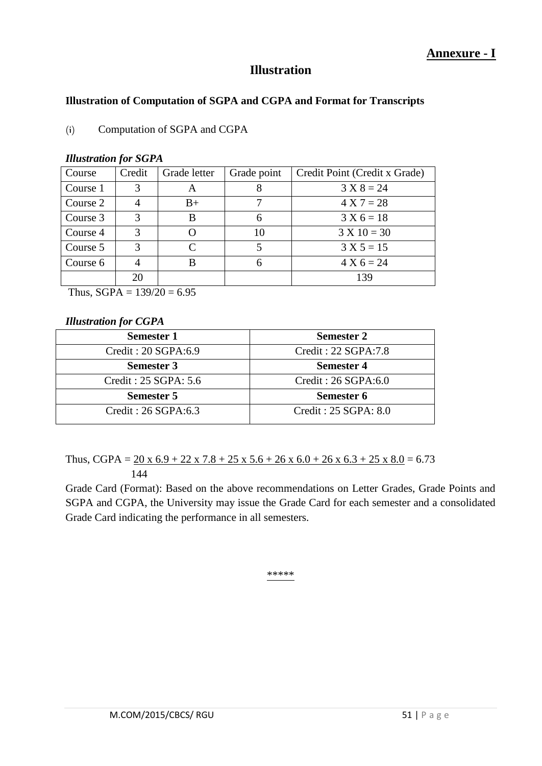### **Illustration**

#### **Illustration of Computation of SGPA and CGPA and Format for Transcripts**

#### (i) Computation of SGPA and CGPA

| Course   | Credit        | Grade letter | Grade point | Credit Point (Credit x Grade) |
|----------|---------------|--------------|-------------|-------------------------------|
| Course 1 | 3             | А            |             | $3 X 8 = 24$                  |
| Course 2 |               | $B+$         |             | $4 X 7 = 28$                  |
| Course 3 | 3             | В            | 6           | $3 X 6 = 18$                  |
| Course 4 | $\mathcal{R}$ |              | 10          | $3 X 10 = 30$                 |
| Course 5 | 3             | $\mathsf{C}$ |             | $3 X 5 = 15$                  |
| Course 6 |               | В            | 6           | $4 X 6 = 24$                  |
|          | 20            |              |             | 139                           |

#### *Illustration for SGPA*

Thus,  $SGPA = 139/20 = 6.95$ 

#### *Illustration for CGPA*

| <b>Semester 1</b>     | <b>Semester 2</b>    |
|-----------------------|----------------------|
| Credit: 20 SGPA:6.9   | Credit: 22 SGPA:7.8  |
| <b>Semester 3</b>     | <b>Semester 4</b>    |
| Credit : 25 SGPA: 5.6 | Credit: 26 SGPA:6.0  |
| <b>Semester 5</b>     | Semester 6           |
| Credit : 26 SGPA:6.3  | Credit: 25 SGPA: 8.0 |

#### Thus, CGPA =  $20 \times 6.9 + 22 \times 7.8 + 25 \times 5.6 + 26 \times 6.0 + 26 \times 6.3 + 25 \times 8.0 = 6.73$ 144

Grade Card (Format): Based on the above recommendations on Letter Grades, Grade Points and SGPA and CGPA, the University may issue the Grade Card for each semester and a consolidated Grade Card indicating the performance in all semesters.

\*\*\*\*\*